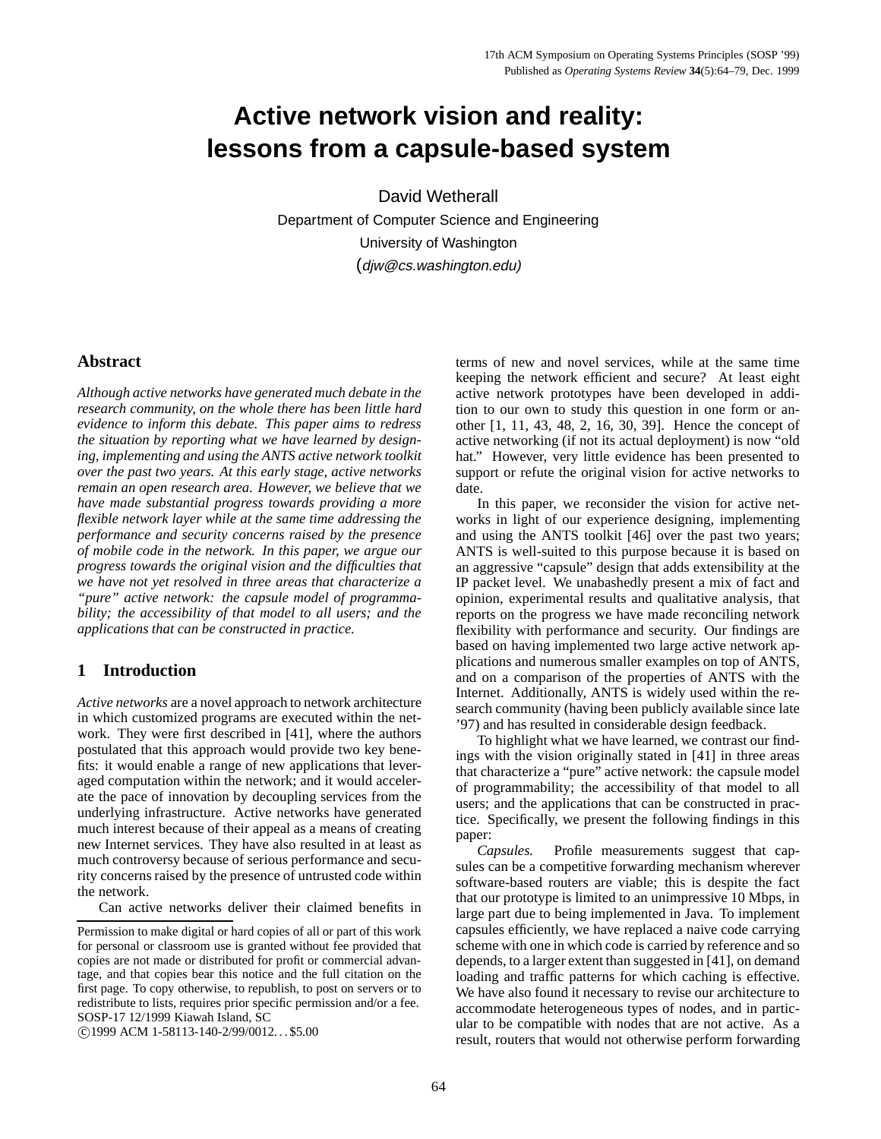# **Active network vision and reality: lessons from a capsule-based system**

David Wetherall

Department of Computer Science and Engineering University of Washington (djw@cs.washington.edu)

# **Abstract**

*Although active networks have generated much debate in the research community, on the whole there has been little hard evidence to inform this debate. This paper aims to redress the situation by reporting what we have learned by designing, implementing and using the ANTS active network toolkit over the past two years. At this early stage, active networks remain an open research area. However, we believe that we have made substantial progress towards providing a more flexible network layer while at the same time addressing the performance and security concerns raised by the presence of mobile code in the network. In this paper, we argue our progress towards the original vision and the difficulties that we have not yet resolved in three areas that characterize a "pure" active network: the capsule model of programmability; the accessibility of that model to all users; and the applications that can be constructed in practice.*

# **1 Introduction**

*Active networks* are a novel approach to network architecture in which customized programs are executed within the network. They were first described in [41], where the authors postulated that this approach would provide two key benefits: it would enable a range of new applications that leveraged computation within the network; and it would accelerate the pace of innovation by decoupling services from the underlying infrastructure. Active networks have generated much interest because of their appeal as a means of creating new Internet services. They have also resulted in at least as much controversy because of serious performance and security concerns raised by the presence of untrusted code within the network.

Can active networks deliver their claimed benefits in

c 1999 ACM 1-58113-140-2/99/0012. . . \$5.00

terms of new and novel services, while at the same time keeping the network efficient and secure? At least eight active network prototypes have been developed in addition to our own to study this question in one form or another [1, 11, 43, 48, 2, 16, 30, 39]. Hence the concept of active networking (if not its actual deployment) is now "old hat." However, very little evidence has been presented to support or refute the original vision for active networks to date.

In this paper, we reconsider the vision for active networks in light of our experience designing, implementing and using the ANTS toolkit [46] over the past two years; ANTS is well-suited to this purpose because it is based on an aggressive "capsule" design that adds extensibility at the IP packet level. We unabashedly present a mix of fact and opinion, experimental results and qualitative analysis, that reports on the progress we have made reconciling network flexibility with performance and security. Our findings are based on having implemented two large active network applications and numerous smaller examples on top of ANTS, and on a comparison of the properties of ANTS with the Internet. Additionally, ANTS is widely used within the research community (having been publicly available since late '97) and has resulted in considerable design feedback.

To highlight what we have learned, we contrast our findings with the vision originally stated in [41] in three areas that characterize a "pure" active network: the capsule model of programmability; the accessibility of that model to all users; and the applications that can be constructed in practice. Specifically, we present the following findings in this paper:

*Capsules.* Profile measurements suggest that capsules can be a competitive forwarding mechanism wherever software-based routers are viable; this is despite the fact that our prototype is limited to an unimpressive 10 Mbps, in large part due to being implemented in Java. To implement capsules efficiently, we have replaced a naive code carrying scheme with one in which code is carried by reference and so depends, to a larger extent than suggested in [41], on demand loading and traffic patterns for which caching is effective. We have also found it necessary to revise our architecture to accommodate heterogeneous types of nodes, and in particular to be compatible with nodes that are not active. As a result, routers that would not otherwise perform forwarding

Permission to make digital or hard copies of all or part of this work for personal or classroom use is granted without fee provided that copies are not made or distributed for profit or commercial advantage, and that copies bear this notice and the full citation on the first page. To copy otherwise, to republish, to post on servers or to redistribute to lists, requires prior specific permission and/or a fee. SOSP-17 12/1999 Kiawah Island, SC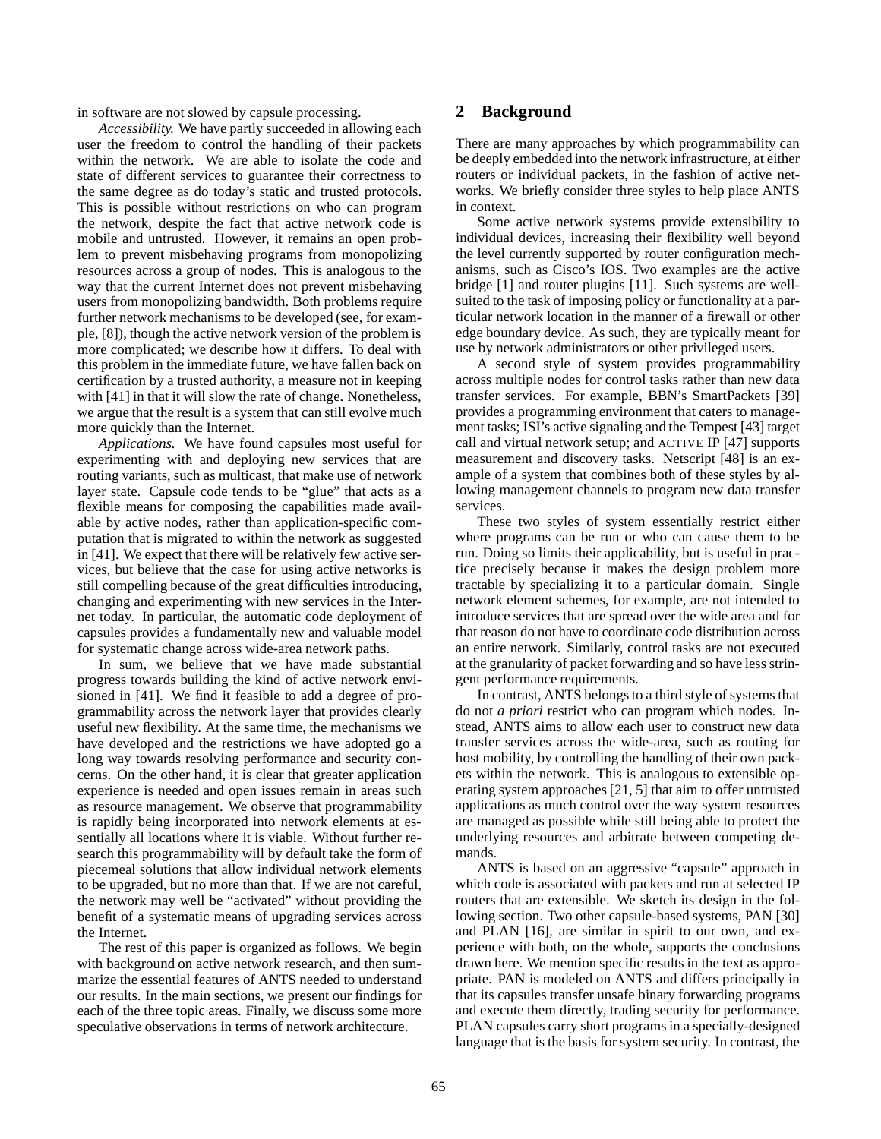in software are not slowed by capsule processing.

*Accessibility.* We have partly succeeded in allowing each user the freedom to control the handling of their packets within the network. We are able to isolate the code and state of different services to guarantee their correctness to the same degree as do today's static and trusted protocols. This is possible without restrictions on who can program the network, despite the fact that active network code is mobile and untrusted. However, it remains an open problem to prevent misbehaving programs from monopolizing resources across a group of nodes. This is analogous to the way that the current Internet does not prevent misbehaving users from monopolizing bandwidth. Both problems require further network mechanisms to be developed (see, for example, [8]), though the active network version of the problem is more complicated; we describe how it differs. To deal with this problem in the immediate future, we have fallen back on certification by a trusted authority, a measure not in keeping with [41] in that it will slow the rate of change. Nonetheless, we argue that the result is a system that can still evolve much more quickly than the Internet.

*Applications.* We have found capsules most useful for experimenting with and deploying new services that are routing variants, such as multicast, that make use of network layer state. Capsule code tends to be "glue" that acts as a flexible means for composing the capabilities made available by active nodes, rather than application-specific computation that is migrated to within the network as suggested in [41]. We expect that there will be relatively few active services, but believe that the case for using active networks is still compelling because of the great difficulties introducing, changing and experimenting with new services in the Internet today. In particular, the automatic code deployment of capsules provides a fundamentally new and valuable model for systematic change across wide-area network paths.

In sum, we believe that we have made substantial progress towards building the kind of active network envisioned in [41]. We find it feasible to add a degree of programmability across the network layer that provides clearly useful new flexibility. At the same time, the mechanisms we have developed and the restrictions we have adopted go a long way towards resolving performance and security concerns. On the other hand, it is clear that greater application experience is needed and open issues remain in areas such as resource management. We observe that programmability is rapidly being incorporated into network elements at essentially all locations where it is viable. Without further research this programmability will by default take the form of piecemeal solutions that allow individual network elements to be upgraded, but no more than that. If we are not careful, the network may well be "activated" without providing the benefit of a systematic means of upgrading services across the Internet.

The rest of this paper is organized as follows. We begin with background on active network research, and then summarize the essential features of ANTS needed to understand our results. In the main sections, we present our findings for each of the three topic areas. Finally, we discuss some more speculative observations in terms of network architecture.

# **2 Background**

There are many approaches by which programmability can be deeply embedded into the network infrastructure, at either routers or individual packets, in the fashion of active networks. We briefly consider three styles to help place ANTS in context.

Some active network systems provide extensibility to individual devices, increasing their flexibility well beyond the level currently supported by router configuration mechanisms, such as Cisco's IOS. Two examples are the active bridge [1] and router plugins [11]. Such systems are wellsuited to the task of imposing policy or functionality at a particular network location in the manner of a firewall or other edge boundary device. As such, they are typically meant for use by network administrators or other privileged users.

A second style of system provides programmability across multiple nodes for control tasks rather than new data transfer services. For example, BBN's SmartPackets [39] provides a programming environment that caters to management tasks; ISI's active signaling and the Tempest [43] target call and virtual network setup; and ACTIVE IP [47] supports measurement and discovery tasks. Netscript [48] is an example of a system that combines both of these styles by allowing management channels to program new data transfer services.

These two styles of system essentially restrict either where programs can be run or who can cause them to be run. Doing so limits their applicability, but is useful in practice precisely because it makes the design problem more tractable by specializing it to a particular domain. Single network element schemes, for example, are not intended to introduce services that are spread over the wide area and for that reason do not have to coordinate code distribution across an entire network. Similarly, control tasks are not executed at the granularity of packet forwarding and so have less stringent performance requirements.

In contrast, ANTS belongs to a third style of systems that do not *a priori* restrict who can program which nodes. Instead, ANTS aims to allow each user to construct new data transfer services across the wide-area, such as routing for host mobility, by controlling the handling of their own packets within the network. This is analogous to extensible operating system approaches [21, 5] that aim to offer untrusted applications as much control over the way system resources are managed as possible while still being able to protect the underlying resources and arbitrate between competing demands.

ANTS is based on an aggressive "capsule" approach in which code is associated with packets and run at selected IP routers that are extensible. We sketch its design in the following section. Two other capsule-based systems, PAN [30] and PLAN [16], are similar in spirit to our own, and experience with both, on the whole, supports the conclusions drawn here. We mention specific results in the text as appropriate. PAN is modeled on ANTS and differs principally in that its capsules transfer unsafe binary forwarding programs and execute them directly, trading security for performance. PLAN capsules carry short programs in a specially-designed language that is the basis for system security. In contrast, the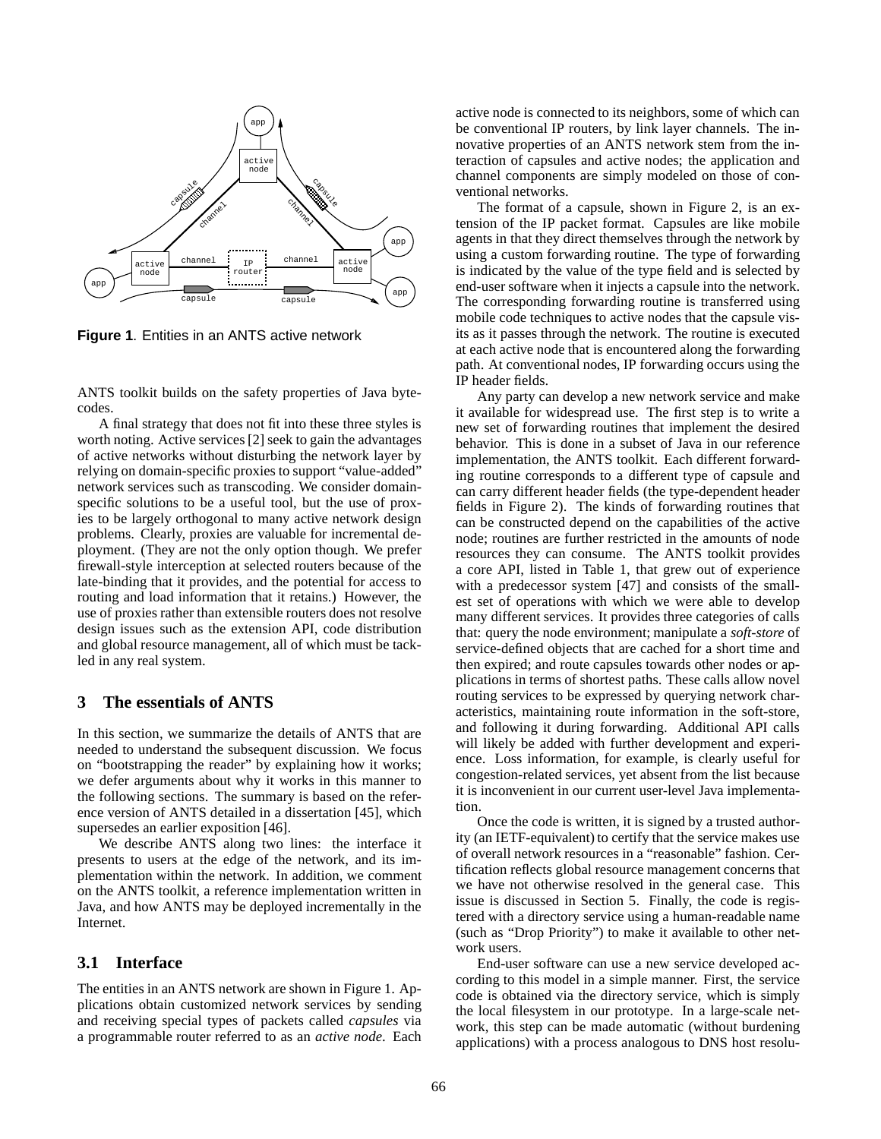

**Figure 1**. Entities in an ANTS active network

ANTS toolkit builds on the safety properties of Java bytecodes.

A final strategy that does not fit into these three styles is worth noting. Active services [2] seek to gain the advantages of active networks without disturbing the network layer by relying on domain-specific proxies to support "value-added" network services such as transcoding. We consider domainspecific solutions to be a useful tool, but the use of proxies to be largely orthogonal to many active network design problems. Clearly, proxies are valuable for incremental deployment. (They are not the only option though. We prefer firewall-style interception at selected routers because of the late-binding that it provides, and the potential for access to routing and load information that it retains.) However, the use of proxies rather than extensible routers does not resolve design issues such as the extension API, code distribution and global resource management, all of which must be tackled in any real system.

#### **3 The essentials of ANTS**

In this section, we summarize the details of ANTS that are needed to understand the subsequent discussion. We focus on "bootstrapping the reader" by explaining how it works; we defer arguments about why it works in this manner to the following sections. The summary is based on the reference version of ANTS detailed in a dissertation [45], which supersedes an earlier exposition [46].

We describe ANTS along two lines: the interface it presents to users at the edge of the network, and its implementation within the network. In addition, we comment on the ANTS toolkit, a reference implementation written in Java, and how ANTS may be deployed incrementally in the Internet.

### **3.1 Interface**

The entities in an ANTS network are shown in Figure 1. Applications obtain customized network services by sending and receiving special types of packets called *capsules* via a programmable router referred to as an *active node*. Each

active node is connected to its neighbors, some of which can be conventional IP routers, by link layer channels. The innovative properties of an ANTS network stem from the interaction of capsules and active nodes; the application and channel components are simply modeled on those of conventional networks.

The format of a capsule, shown in Figure 2, is an extension of the IP packet format. Capsules are like mobile agents in that they direct themselves through the network by using a custom forwarding routine. The type of forwarding is indicated by the value of the type field and is selected by end-user software when it injects a capsule into the network. The corresponding forwarding routine is transferred using mobile code techniques to active nodes that the capsule visits as it passes through the network. The routine is executed at each active node that is encountered along the forwarding path. At conventional nodes, IP forwarding occurs using the IP header fields.

Any party can develop a new network service and make it available for widespread use. The first step is to write a new set of forwarding routines that implement the desired behavior. This is done in a subset of Java in our reference implementation, the ANTS toolkit. Each different forwarding routine corresponds to a different type of capsule and can carry different header fields (the type-dependent header fields in Figure 2). The kinds of forwarding routines that can be constructed depend on the capabilities of the active node; routines are further restricted in the amounts of node resources they can consume. The ANTS toolkit provides a core API, listed in Table 1, that grew out of experience with a predecessor system [47] and consists of the smallest set of operations with which we were able to develop many different services. It provides three categories of calls that: query the node environment; manipulate a *soft-store* of service-defined objects that are cached for a short time and then expired; and route capsules towards other nodes or applications in terms of shortest paths. These calls allow novel routing services to be expressed by querying network characteristics, maintaining route information in the soft-store, and following it during forwarding. Additional API calls will likely be added with further development and experience. Loss information, for example, is clearly useful for congestion-related services, yet absent from the list because it is inconvenient in our current user-level Java implementation.

Once the code is written, it is signed by a trusted authority (an IETF-equivalent) to certify that the service makes use of overall network resources in a "reasonable" fashion. Certification reflects global resource management concerns that we have not otherwise resolved in the general case. This issue is discussed in Section 5. Finally, the code is registered with a directory service using a human-readable name (such as "Drop Priority") to make it available to other network users.

End-user software can use a new service developed according to this model in a simple manner. First, the service code is obtained via the directory service, which is simply the local filesystem in our prototype. In a large-scale network, this step can be made automatic (without burdening applications) with a process analogous to DNS host resolu-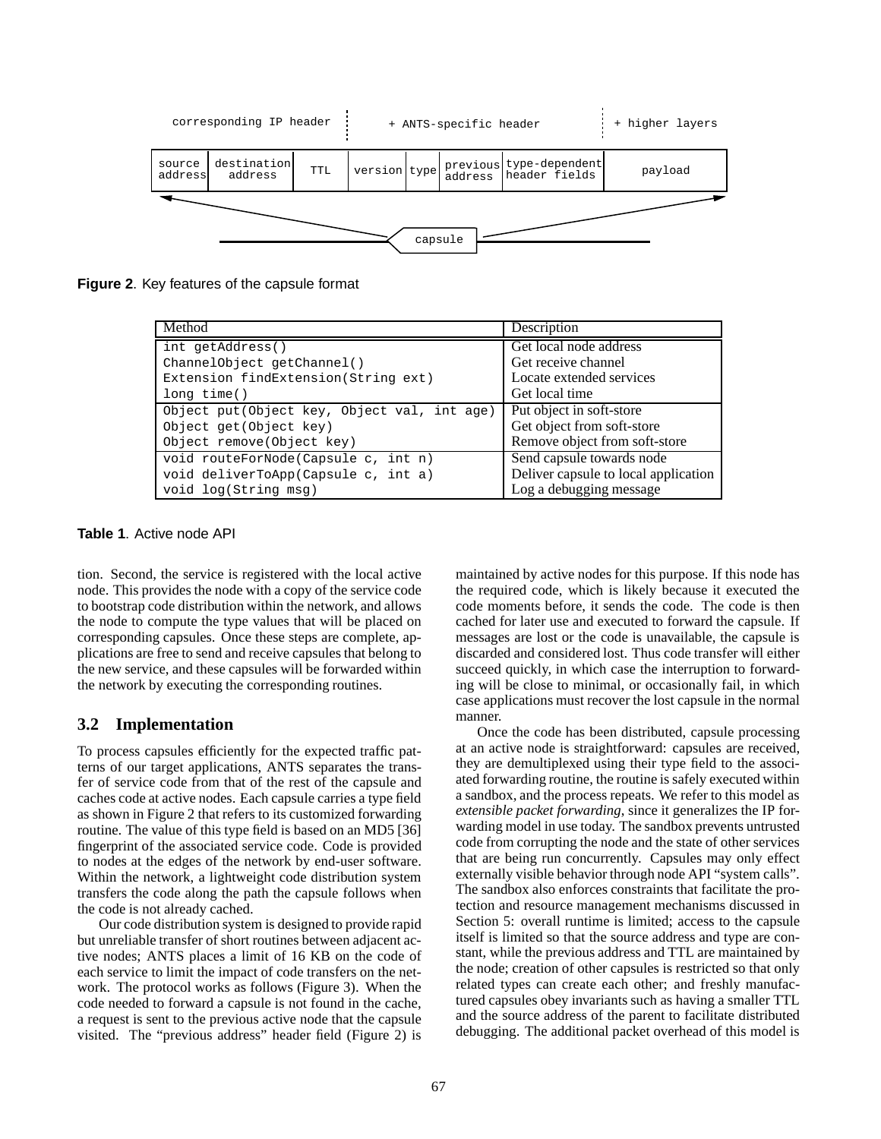

**Figure 2**. Key features of the capsule format

| Method                                       | Description                          |  |
|----------------------------------------------|--------------------------------------|--|
| int getAddress()                             | Get local node address               |  |
| ChannelObject getChannel()                   | Get receive channel                  |  |
| Extension findExtension(String ext)          | Locate extended services             |  |
| long time()                                  | Get local time                       |  |
| Object put (Object key, Object val, int age) | Put object in soft-store             |  |
| Object get (Object key)                      | Get object from soft-store           |  |
| Object remove(Object key)                    | Remove object from soft-store        |  |
| void routeForNode(Capsule c, int n)          | Send capsule towards node            |  |
| void deliverToApp(Capsule c, int a)          | Deliver capsule to local application |  |
| void log(String msg)                         | Log a debugging message              |  |

#### **Table 1**. Active node API

tion. Second, the service is registered with the local active node. This provides the node with a copy of the service code to bootstrap code distribution within the network, and allows the node to compute the type values that will be placed on corresponding capsules. Once these steps are complete, applications are free to send and receive capsules that belong to the new service, and these capsules will be forwarded within the network by executing the corresponding routines.

# **3.2 Implementation**

To process capsules efficiently for the expected traffic patterns of our target applications, ANTS separates the transfer of service code from that of the rest of the capsule and caches code at active nodes. Each capsule carries a type field as shown in Figure 2 that refers to its customized forwarding routine. The value of this type field is based on an MD5 [36] fingerprint of the associated service code. Code is provided to nodes at the edges of the network by end-user software. Within the network, a lightweight code distribution system transfers the code along the path the capsule follows when the code is not already cached.

Our code distribution system is designed to provide rapid but unreliable transfer of short routines between adjacent active nodes; ANTS places a limit of 16 KB on the code of each service to limit the impact of code transfers on the network. The protocol works as follows (Figure 3). When the code needed to forward a capsule is not found in the cache, a request is sent to the previous active node that the capsule visited. The "previous address" header field (Figure 2) is maintained by active nodes for this purpose. If this node has the required code, which is likely because it executed the code moments before, it sends the code. The code is then cached for later use and executed to forward the capsule. If messages are lost or the code is unavailable, the capsule is discarded and considered lost. Thus code transfer will either succeed quickly, in which case the interruption to forwarding will be close to minimal, or occasionally fail, in which case applications must recover the lost capsule in the normal manner.

Once the code has been distributed, capsule processing at an active node is straightforward: capsules are received, they are demultiplexed using their type field to the associated forwarding routine, the routine is safely executed within a sandbox, and the process repeats. We refer to this model as *extensible packet forwarding*, since it generalizes the IP forwarding model in use today. The sandbox prevents untrusted code from corrupting the node and the state of other services that are being run concurrently. Capsules may only effect externally visible behavior through node API "system calls". The sandbox also enforces constraints that facilitate the protection and resource management mechanisms discussed in Section 5: overall runtime is limited; access to the capsule itself is limited so that the source address and type are constant, while the previous address and TTL are maintained by the node; creation of other capsules is restricted so that only related types can create each other; and freshly manufactured capsules obey invariants such as having a smaller TTL and the source address of the parent to facilitate distributed debugging. The additional packet overhead of this model is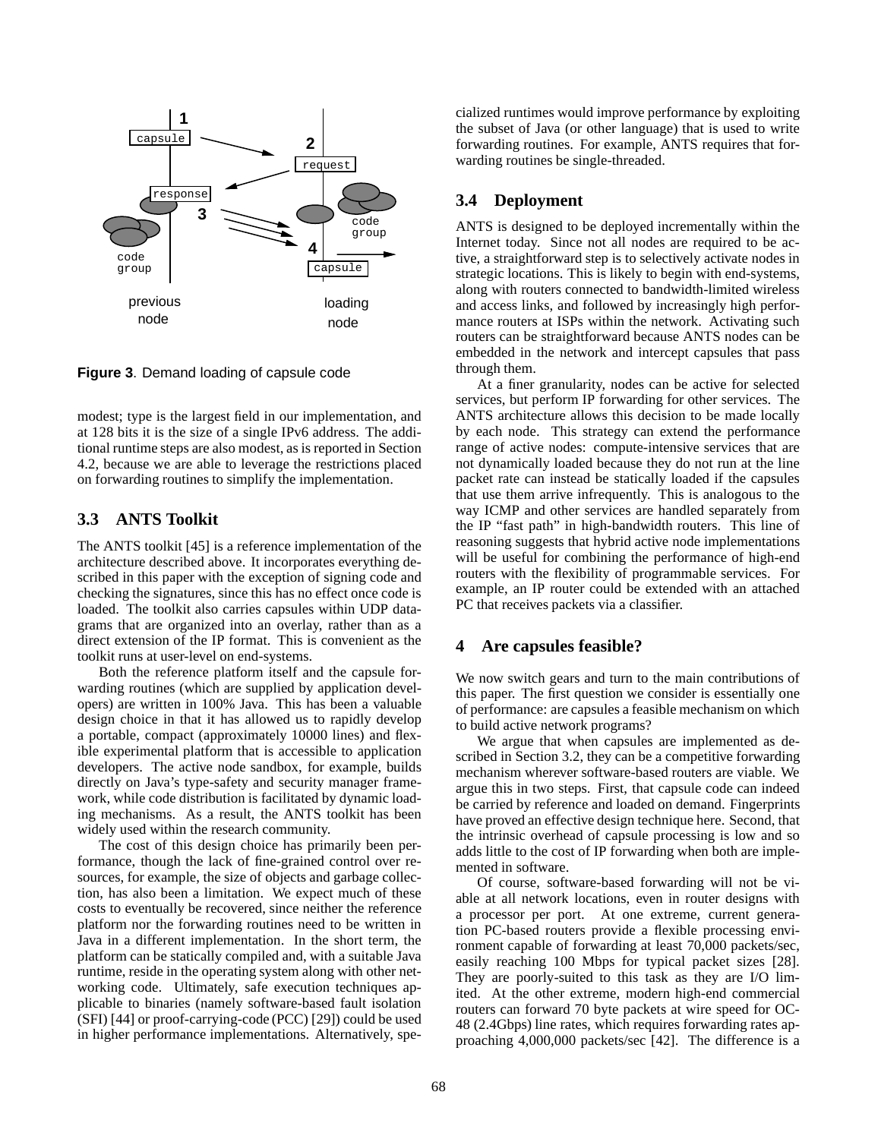

**Figure 3**. Demand loading of capsule code

modest; type is the largest field in our implementation, and at 128 bits it is the size of a single IPv6 address. The additional runtime steps are also modest, as is reported in Section 4.2, because we are able to leverage the restrictions placed on forwarding routines to simplify the implementation.

# **3.3 ANTS Toolkit**

The ANTS toolkit [45] is a reference implementation of the architecture described above. It incorporates everything described in this paper with the exception of signing code and checking the signatures, since this has no effect once code is loaded. The toolkit also carries capsules within UDP datagrams that are organized into an overlay, rather than as a direct extension of the IP format. This is convenient as the toolkit runs at user-level on end-systems.

Both the reference platform itself and the capsule forwarding routines (which are supplied by application developers) are written in 100% Java. This has been a valuable design choice in that it has allowed us to rapidly develop a portable, compact (approximately 10000 lines) and flexible experimental platform that is accessible to application developers. The active node sandbox, for example, builds directly on Java's type-safety and security manager framework, while code distribution is facilitated by dynamic loading mechanisms. As a result, the ANTS toolkit has been widely used within the research community.

The cost of this design choice has primarily been performance, though the lack of fine-grained control over resources, for example, the size of objects and garbage collection, has also been a limitation. We expect much of these costs to eventually be recovered, since neither the reference platform nor the forwarding routines need to be written in Java in a different implementation. In the short term, the platform can be statically compiled and, with a suitable Java runtime, reside in the operating system along with other networking code. Ultimately, safe execution techniques applicable to binaries (namely software-based fault isolation (SFI) [44] or proof-carrying-code (PCC) [29]) could be used in higher performance implementations. Alternatively, specialized runtimes would improve performance by exploiting the subset of Java (or other language) that is used to write forwarding routines. For example, ANTS requires that forwarding routines be single-threaded.

# **3.4 Deployment**

ANTS is designed to be deployed incrementally within the Internet today. Since not all nodes are required to be active, a straightforward step is to selectively activate nodes in strategic locations. This is likely to begin with end-systems, along with routers connected to bandwidth-limited wireless and access links, and followed by increasingly high performance routers at ISPs within the network. Activating such routers can be straightforward because ANTS nodes can be embedded in the network and intercept capsules that pass through them.

At a finer granularity, nodes can be active for selected services, but perform IP forwarding for other services. The ANTS architecture allows this decision to be made locally by each node. This strategy can extend the performance range of active nodes: compute-intensive services that are not dynamically loaded because they do not run at the line packet rate can instead be statically loaded if the capsules that use them arrive infrequently. This is analogous to the way ICMP and other services are handled separately from the IP "fast path" in high-bandwidth routers. This line of reasoning suggests that hybrid active node implementations will be useful for combining the performance of high-end routers with the flexibility of programmable services. For example, an IP router could be extended with an attached PC that receives packets via a classifier.

# **4 Are capsules feasible?**

We now switch gears and turn to the main contributions of this paper. The first question we consider is essentially one of performance: are capsules a feasible mechanism on which to build active network programs?

We argue that when capsules are implemented as described in Section 3.2, they can be a competitive forwarding mechanism wherever software-based routers are viable. We argue this in two steps. First, that capsule code can indeed be carried by reference and loaded on demand. Fingerprints have proved an effective design technique here. Second, that the intrinsic overhead of capsule processing is low and so adds little to the cost of IP forwarding when both are implemented in software.

Of course, software-based forwarding will not be viable at all network locations, even in router designs with a processor per port. At one extreme, current generation PC-based routers provide a flexible processing environment capable of forwarding at least 70,000 packets/sec, easily reaching 100 Mbps for typical packet sizes [28]. They are poorly-suited to this task as they are I/O limited. At the other extreme, modern high-end commercial routers can forward 70 byte packets at wire speed for OC-48 (2.4Gbps) line rates, which requires forwarding rates approaching 4,000,000 packets/sec [42]. The difference is a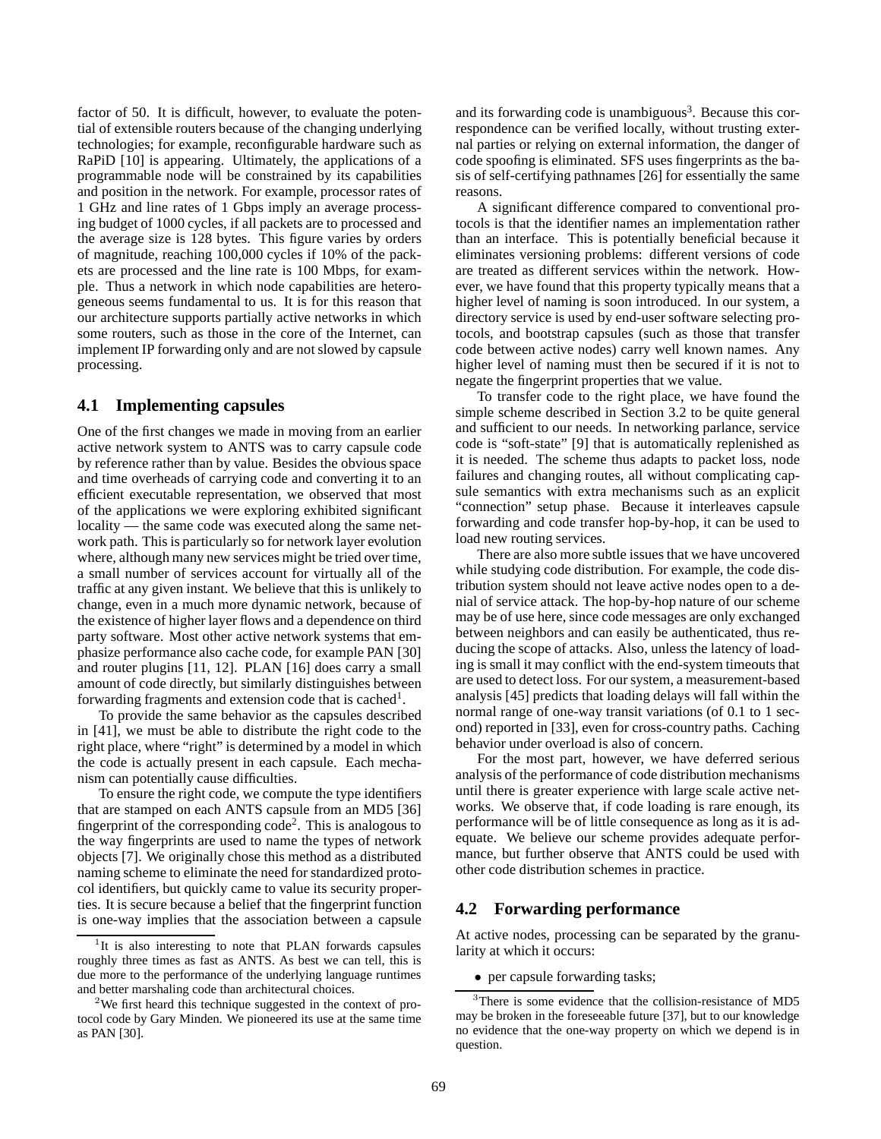factor of 50. It is difficult, however, to evaluate the potential of extensible routers because of the changing underlying technologies; for example, reconfigurable hardware such as RaPiD [10] is appearing. Ultimately, the applications of a programmable node will be constrained by its capabilities and position in the network. For example, processor rates of 1 GHz and line rates of 1 Gbps imply an average processing budget of 1000 cycles, if all packets are to processed and the average size is 128 bytes. This figure varies by orders of magnitude, reaching 100,000 cycles if 10% of the packets are processed and the line rate is 100 Mbps, for example. Thus a network in which node capabilities are heterogeneous seems fundamental to us. It is for this reason that our architecture supports partially active networks in which some routers, such as those in the core of the Internet, can implement IP forwarding only and are not slowed by capsule processing.

## **4.1 Implementing capsules**

One of the first changes we made in moving from an earlier active network system to ANTS was to carry capsule code by reference rather than by value. Besides the obvious space and time overheads of carrying code and converting it to an efficient executable representation, we observed that most of the applications we were exploring exhibited significant locality — the same code was executed along the same network path. This is particularly so for network layer evolution where, although many new services might be tried over time, a small number of services account for virtually all of the traffic at any given instant. We believe that this is unlikely to change, even in a much more dynamic network, because of the existence of higher layer flows and a dependence on third party software. Most other active network systems that emphasize performance also cache code, for example PAN [30] and router plugins [11, 12]. PLAN [16] does carry a small amount of code directly, but similarly distinguishes between forwarding fragments and extension code that is cached<sup>1</sup>.

To provide the same behavior as the capsules described in [41], we must be able to distribute the right code to the right place, where "right" is determined by a model in which the code is actually present in each capsule. Each mechanism can potentially cause difficulties.

To ensure the right code, we compute the type identifiers that are stamped on each ANTS capsule from an MD5 [36] fingerprint of the corresponding  $\text{code}^2$ . This is analogous to the way fingerprints are used to name the types of network objects [7]. We originally chose this method as a distributed naming scheme to eliminate the need for standardized protocol identifiers, but quickly came to value its security properties. It is secure because a belief that the fingerprint function is one-way implies that the association between a capsule and its forwarding code is unambiguous<sup>3</sup>. Because this correspondence can be verified locally, without trusting external parties or relying on external information, the danger of code spoofing is eliminated. SFS uses fingerprints as the basis of self-certifying pathnames [26] for essentially the same reasons.

A significant difference compared to conventional protocols is that the identifier names an implementation rather than an interface. This is potentially beneficial because it eliminates versioning problems: different versions of code are treated as different services within the network. However, we have found that this property typically means that a higher level of naming is soon introduced. In our system, a directory service is used by end-user software selecting protocols, and bootstrap capsules (such as those that transfer code between active nodes) carry well known names. Any higher level of naming must then be secured if it is not to negate the fingerprint properties that we value.

To transfer code to the right place, we have found the simple scheme described in Section 3.2 to be quite general and sufficient to our needs. In networking parlance, service code is "soft-state" [9] that is automatically replenished as it is needed. The scheme thus adapts to packet loss, node failures and changing routes, all without complicating capsule semantics with extra mechanisms such as an explicit "connection" setup phase. Because it interleaves capsule forwarding and code transfer hop-by-hop, it can be used to load new routing services.

There are also more subtle issues that we have uncovered while studying code distribution. For example, the code distribution system should not leave active nodes open to a denial of service attack. The hop-by-hop nature of our scheme may be of use here, since code messages are only exchanged between neighbors and can easily be authenticated, thus reducing the scope of attacks. Also, unless the latency of loading is small it may conflict with the end-system timeouts that are used to detect loss. For our system, a measurement-based analysis [45] predicts that loading delays will fall within the normal range of one-way transit variations (of 0.1 to 1 second) reported in [33], even for cross-country paths. Caching behavior under overload is also of concern.

For the most part, however, we have deferred serious analysis of the performance of code distribution mechanisms until there is greater experience with large scale active networks. We observe that, if code loading is rare enough, its performance will be of little consequence as long as it is adequate. We believe our scheme provides adequate performance, but further observe that ANTS could be used with other code distribution schemes in practice.

#### **4.2 Forwarding performance**

At active nodes, processing can be separated by the granularity at which it occurs:

<sup>&</sup>lt;sup>1</sup>It is also interesting to note that PLAN forwards capsules roughly three times as fast as ANTS. As best we can tell, this is due more to the performance of the underlying language runtimes and better marshaling code than architectural choices.

<sup>&</sup>lt;sup>2</sup>We first heard this technique suggested in the context of protocol code by Gary Minden. We pioneered its use at the same time as PAN [30].

<sup>•</sup> per capsule forwarding tasks;

<sup>&</sup>lt;sup>3</sup>There is some evidence that the collision-resistance of MD5 may be broken in the foreseeable future [37], but to our knowledge no evidence that the one-way property on which we depend is in question.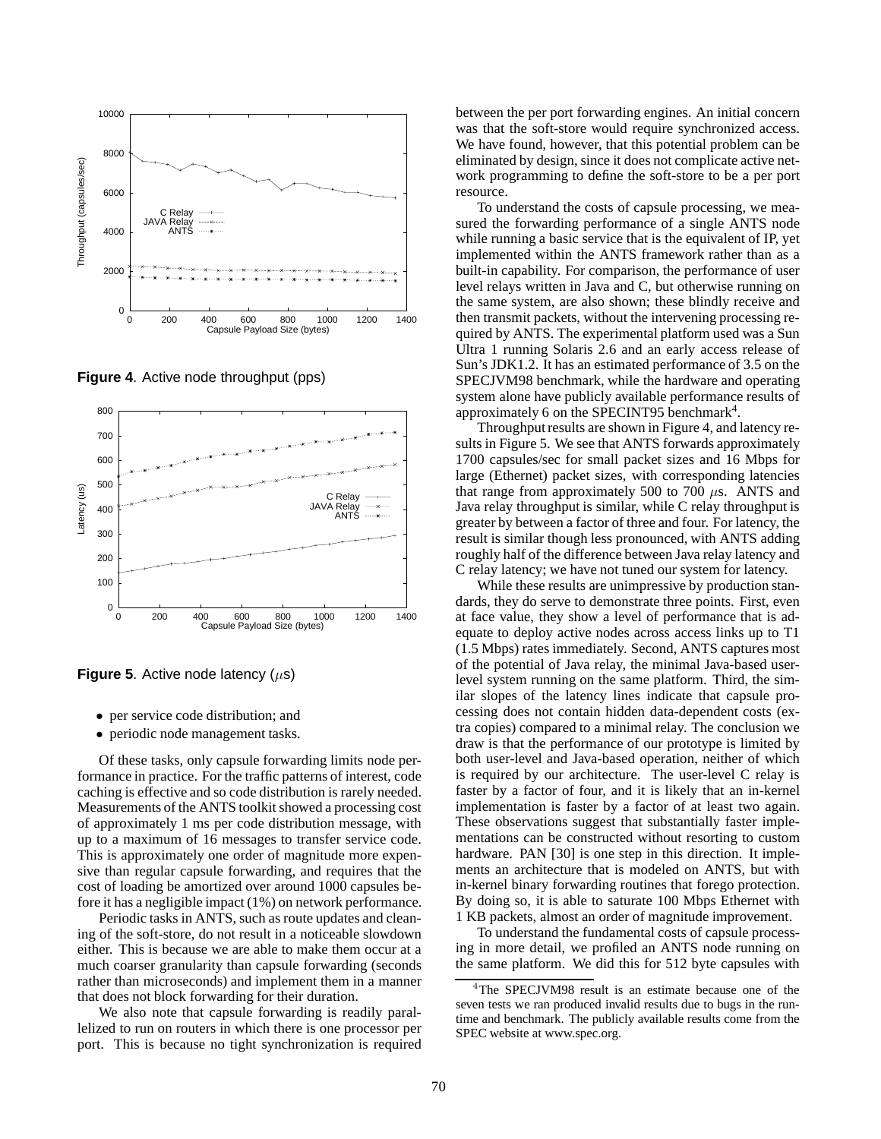

**Figure 4**. Active node throughput (pps)



**Figure 5**. Active node latency  $(\mu s)$ 

- per service code distribution; and
- periodic node management tasks.

Of these tasks, only capsule forwarding limits node performance in practice. For the traffic patterns of interest, code caching is effective and so code distribution is rarely needed. Measurements of the ANTS toolkit showed a processing cost of approximately 1 ms per code distribution message, with up to a maximum of 16 messages to transfer service code. This is approximately one order of magnitude more expensive than regular capsule forwarding, and requires that the cost of loading be amortized over around 1000 capsules before it has a negligible impact (1%) on network performance.

Periodic tasks in ANTS, such as route updates and cleaning of the soft-store, do not result in a noticeable slowdown either. This is because we are able to make them occur at a much coarser granularity than capsule forwarding (seconds rather than microseconds) and implement them in a manner that does not block forwarding for their duration.

We also note that capsule forwarding is readily parallelized to run on routers in which there is one processor per port. This is because no tight synchronization is required between the per port forwarding engines. An initial concern was that the soft-store would require synchronized access. We have found, however, that this potential problem can be eliminated by design, since it does not complicate active network programming to define the soft-store to be a per port resource.

To understand the costs of capsule processing, we measured the forwarding performance of a single ANTS node while running a basic service that is the equivalent of IP, yet implemented within the ANTS framework rather than as a built-in capability. For comparison, the performance of user level relays written in Java and C, but otherwise running on the same system, are also shown; these blindly receive and then transmit packets, without the intervening processing required by ANTS. The experimental platform used was a Sun Ultra 1 running Solaris 2.6 and an early access release of Sun's JDK1.2. It has an estimated performance of 3.5 on the SPECJVM98 benchmark, while the hardware and operating system alone have publicly available performance results of approximately 6 on the SPECINT95 benchmark<sup>4</sup>.

Throughput results are shown in Figure 4, and latency results in Figure 5. We see that ANTS forwards approximately 1700 capsules/sec for small packet sizes and 16 Mbps for large (Ethernet) packet sizes, with corresponding latencies that range from approximately 500 to 700  $\mu$ s. ANTS and Java relay throughput is similar, while C relay throughput is greater by between a factor of three and four. For latency, the result is similar though less pronounced, with ANTS adding roughly half of the difference between Java relay latency and C relay latency; we have not tuned our system for latency.

While these results are unimpressive by production standards, they do serve to demonstrate three points. First, even at face value, they show a level of performance that is adequate to deploy active nodes across access links up to T1 (1.5 Mbps) rates immediately. Second, ANTS captures most of the potential of Java relay, the minimal Java-based userlevel system running on the same platform. Third, the similar slopes of the latency lines indicate that capsule processing does not contain hidden data-dependent costs (extra copies) compared to a minimal relay. The conclusion we draw is that the performance of our prototype is limited by both user-level and Java-based operation, neither of which is required by our architecture. The user-level C relay is faster by a factor of four, and it is likely that an in-kernel implementation is faster by a factor of at least two again. These observations suggest that substantially faster implementations can be constructed without resorting to custom hardware. PAN [30] is one step in this direction. It implements an architecture that is modeled on ANTS, but with in-kernel binary forwarding routines that forego protection. By doing so, it is able to saturate 100 Mbps Ethernet with 1 KB packets, almost an order of magnitude improvement.

To understand the fundamental costs of capsule processing in more detail, we profiled an ANTS node running on the same platform. We did this for 512 byte capsules with

<sup>4</sup>The SPECJVM98 result is an estimate because one of the seven tests we ran produced invalid results due to bugs in the runtime and benchmark. The publicly available results come from the SPEC website at www.spec.org.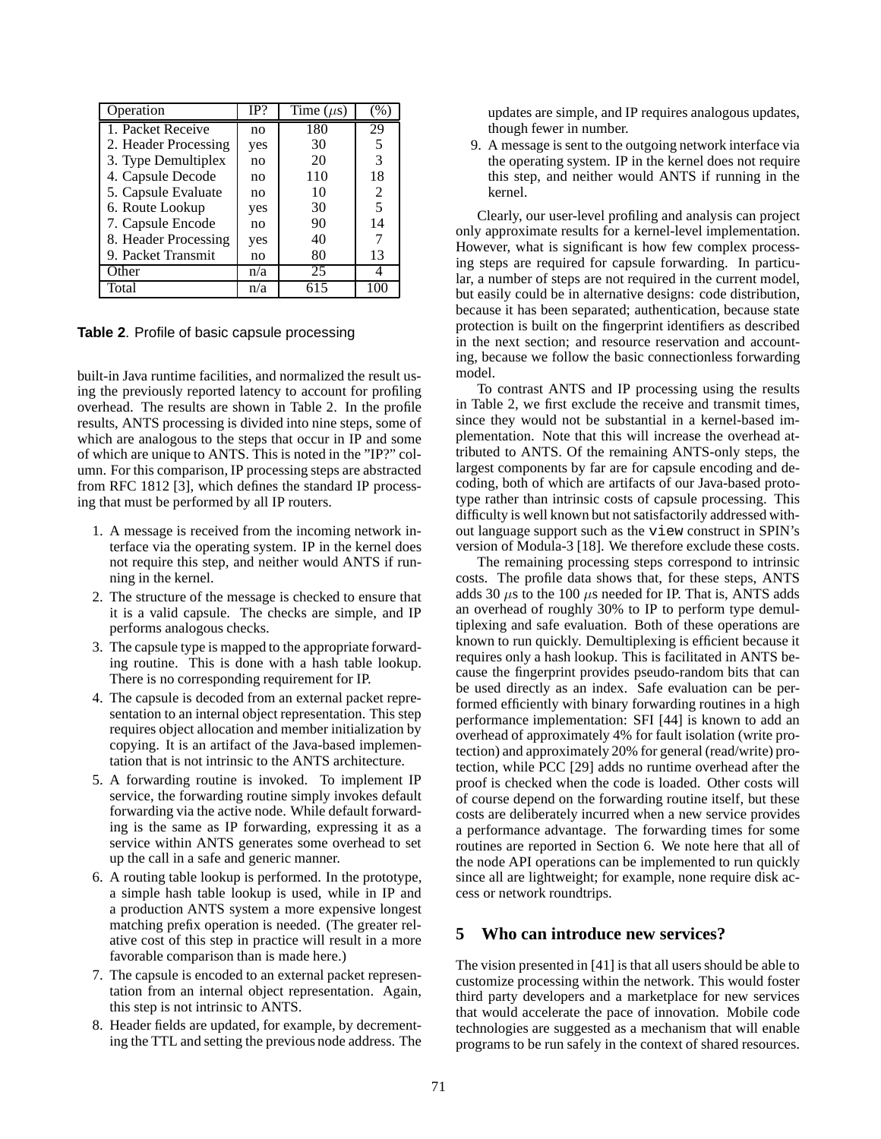| Operation            | IP? | Time $(\mu s)$ | $\%$          |
|----------------------|-----|----------------|---------------|
| 1. Packet Receive    | no  | 180            | 29            |
| 2. Header Processing | yes | 30             |               |
| 3. Type Demultiplex  | no  | 20             | $\mathcal{F}$ |
| 4. Capsule Decode    | no  | 110            | 18            |
| 5. Capsule Evaluate  | no  | 10             | 2             |
| 6. Route Lookup      | yes | 30             | 5             |
| 7. Capsule Encode    | no  | 90             | 14            |
| 8. Header Processing | yes | 40             |               |
| 9. Packet Transmit   | no  | 80             | 13            |
| Other                | n/a | 25             |               |
| Total                | n/a |                |               |

**Table 2**. Profile of basic capsule processing

built-in Java runtime facilities, and normalized the result using the previously reported latency to account for profiling overhead. The results are shown in Table 2. In the profile results, ANTS processing is divided into nine steps, some of which are analogous to the steps that occur in IP and some of which are unique to ANTS. This is noted in the "IP?" column. For this comparison, IP processing steps are abstracted from RFC 1812 [3], which defines the standard IP processing that must be performed by all IP routers.

- 1. A message is received from the incoming network interface via the operating system. IP in the kernel does not require this step, and neither would ANTS if running in the kernel.
- 2. The structure of the message is checked to ensure that it is a valid capsule. The checks are simple, and IP performs analogous checks.
- 3. The capsule type is mapped to the appropriate forwarding routine. This is done with a hash table lookup. There is no corresponding requirement for IP.
- 4. The capsule is decoded from an external packet representation to an internal object representation. This step requires object allocation and member initialization by copying. It is an artifact of the Java-based implementation that is not intrinsic to the ANTS architecture.
- 5. A forwarding routine is invoked. To implement IP service, the forwarding routine simply invokes default forwarding via the active node. While default forwarding is the same as IP forwarding, expressing it as a service within ANTS generates some overhead to set up the call in a safe and generic manner.
- 6. A routing table lookup is performed. In the prototype, a simple hash table lookup is used, while in IP and a production ANTS system a more expensive longest matching prefix operation is needed. (The greater relative cost of this step in practice will result in a more favorable comparison than is made here.)
- 7. The capsule is encoded to an external packet representation from an internal object representation. Again, this step is not intrinsic to ANTS.
- 8. Header fields are updated, for example, by decrementing the TTL and setting the previous node address. The

updates are simple, and IP requires analogous updates, though fewer in number.

9. A message is sent to the outgoing network interface via the operating system. IP in the kernel does not require this step, and neither would ANTS if running in the kernel.

Clearly, our user-level profiling and analysis can project only approximate results for a kernel-level implementation. However, what is significant is how few complex processing steps are required for capsule forwarding. In particular, a number of steps are not required in the current model, but easily could be in alternative designs: code distribution, because it has been separated; authentication, because state protection is built on the fingerprint identifiers as described in the next section; and resource reservation and accounting, because we follow the basic connectionless forwarding model.

To contrast ANTS and IP processing using the results in Table 2, we first exclude the receive and transmit times, since they would not be substantial in a kernel-based implementation. Note that this will increase the overhead attributed to ANTS. Of the remaining ANTS-only steps, the largest components by far are for capsule encoding and decoding, both of which are artifacts of our Java-based prototype rather than intrinsic costs of capsule processing. This difficulty is well known but not satisfactorily addressed without language support such as the view construct in SPIN's version of Modula-3 [18]. We therefore exclude these costs.

The remaining processing steps correspond to intrinsic costs. The profile data shows that, for these steps, ANTS adds 30  $\mu$ s to the 100  $\mu$ s needed for IP. That is, ANTS adds an overhead of roughly 30% to IP to perform type demultiplexing and safe evaluation. Both of these operations are known to run quickly. Demultiplexing is efficient because it requires only a hash lookup. This is facilitated in ANTS because the fingerprint provides pseudo-random bits that can be used directly as an index. Safe evaluation can be performed efficiently with binary forwarding routines in a high performance implementation: SFI [44] is known to add an overhead of approximately 4% for fault isolation (write protection) and approximately 20% for general (read/write) protection, while PCC [29] adds no runtime overhead after the proof is checked when the code is loaded. Other costs will of course depend on the forwarding routine itself, but these costs are deliberately incurred when a new service provides a performance advantage. The forwarding times for some routines are reported in Section 6. We note here that all of the node API operations can be implemented to run quickly since all are lightweight; for example, none require disk access or network roundtrips.

# **5 Who can introduce new services?**

The vision presented in [41] is that all users should be able to customize processing within the network. This would foster third party developers and a marketplace for new services that would accelerate the pace of innovation. Mobile code technologies are suggested as a mechanism that will enable programs to be run safely in the context of shared resources.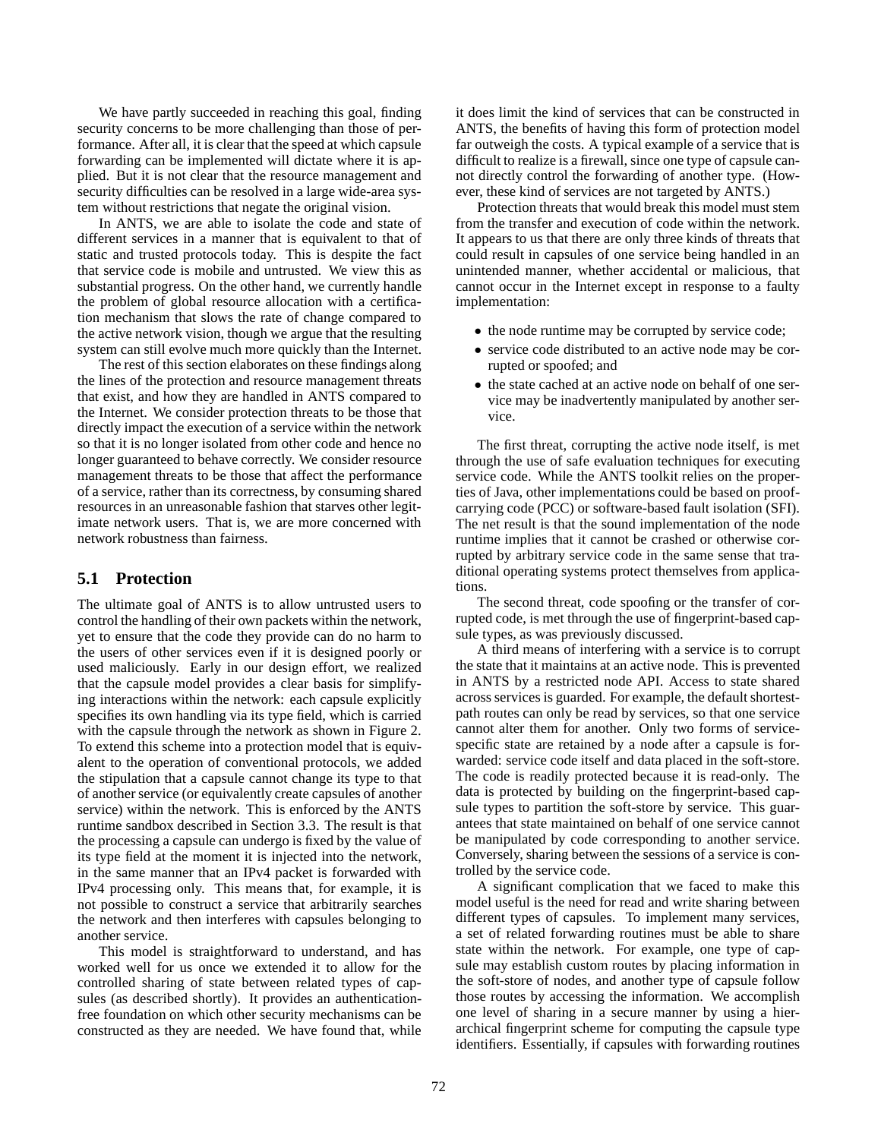We have partly succeeded in reaching this goal, finding security concerns to be more challenging than those of performance. After all, it is clear that the speed at which capsule forwarding can be implemented will dictate where it is applied. But it is not clear that the resource management and security difficulties can be resolved in a large wide-area system without restrictions that negate the original vision.

In ANTS, we are able to isolate the code and state of different services in a manner that is equivalent to that of static and trusted protocols today. This is despite the fact that service code is mobile and untrusted. We view this as substantial progress. On the other hand, we currently handle the problem of global resource allocation with a certification mechanism that slows the rate of change compared to the active network vision, though we argue that the resulting system can still evolve much more quickly than the Internet.

The rest of this section elaborates on these findings along the lines of the protection and resource management threats that exist, and how they are handled in ANTS compared to the Internet. We consider protection threats to be those that directly impact the execution of a service within the network so that it is no longer isolated from other code and hence no longer guaranteed to behave correctly. We consider resource management threats to be those that affect the performance of a service, rather than its correctness, by consuming shared resources in an unreasonable fashion that starves other legitimate network users. That is, we are more concerned with network robustness than fairness.

#### **5.1 Protection**

The ultimate goal of ANTS is to allow untrusted users to control the handling of their own packets within the network, yet to ensure that the code they provide can do no harm to the users of other services even if it is designed poorly or used maliciously. Early in our design effort, we realized that the capsule model provides a clear basis for simplifying interactions within the network: each capsule explicitly specifies its own handling via its type field, which is carried with the capsule through the network as shown in Figure 2. To extend this scheme into a protection model that is equivalent to the operation of conventional protocols, we added the stipulation that a capsule cannot change its type to that of another service (or equivalently create capsules of another service) within the network. This is enforced by the ANTS runtime sandbox described in Section 3.3. The result is that the processing a capsule can undergo is fixed by the value of its type field at the moment it is injected into the network, in the same manner that an IPv4 packet is forwarded with IPv4 processing only. This means that, for example, it is not possible to construct a service that arbitrarily searches the network and then interferes with capsules belonging to another service.

This model is straightforward to understand, and has worked well for us once we extended it to allow for the controlled sharing of state between related types of capsules (as described shortly). It provides an authenticationfree foundation on which other security mechanisms can be constructed as they are needed. We have found that, while it does limit the kind of services that can be constructed in ANTS, the benefits of having this form of protection model far outweigh the costs. A typical example of a service that is difficult to realize is a firewall, since one type of capsule cannot directly control the forwarding of another type. (However, these kind of services are not targeted by ANTS.)

Protection threats that would break this model must stem from the transfer and execution of code within the network. It appears to us that there are only three kinds of threats that could result in capsules of one service being handled in an unintended manner, whether accidental or malicious, that cannot occur in the Internet except in response to a faulty implementation:

- the node runtime may be corrupted by service code;
- service code distributed to an active node may be corrupted or spoofed; and
- the state cached at an active node on behalf of one service may be inadvertently manipulated by another service.

The first threat, corrupting the active node itself, is met through the use of safe evaluation techniques for executing service code. While the ANTS toolkit relies on the properties of Java, other implementations could be based on proofcarrying code (PCC) or software-based fault isolation (SFI). The net result is that the sound implementation of the node runtime implies that it cannot be crashed or otherwise corrupted by arbitrary service code in the same sense that traditional operating systems protect themselves from applications.

The second threat, code spoofing or the transfer of corrupted code, is met through the use of fingerprint-based capsule types, as was previously discussed.

A third means of interfering with a service is to corrupt the state that it maintains at an active node. This is prevented in ANTS by a restricted node API. Access to state shared across services is guarded. For example, the default shortestpath routes can only be read by services, so that one service cannot alter them for another. Only two forms of servicespecific state are retained by a node after a capsule is forwarded: service code itself and data placed in the soft-store. The code is readily protected because it is read-only. The data is protected by building on the fingerprint-based capsule types to partition the soft-store by service. This guarantees that state maintained on behalf of one service cannot be manipulated by code corresponding to another service. Conversely, sharing between the sessions of a service is controlled by the service code.

A significant complication that we faced to make this model useful is the need for read and write sharing between different types of capsules. To implement many services, a set of related forwarding routines must be able to share state within the network. For example, one type of capsule may establish custom routes by placing information in the soft-store of nodes, and another type of capsule follow those routes by accessing the information. We accomplish one level of sharing in a secure manner by using a hierarchical fingerprint scheme for computing the capsule type identifiers. Essentially, if capsules with forwarding routines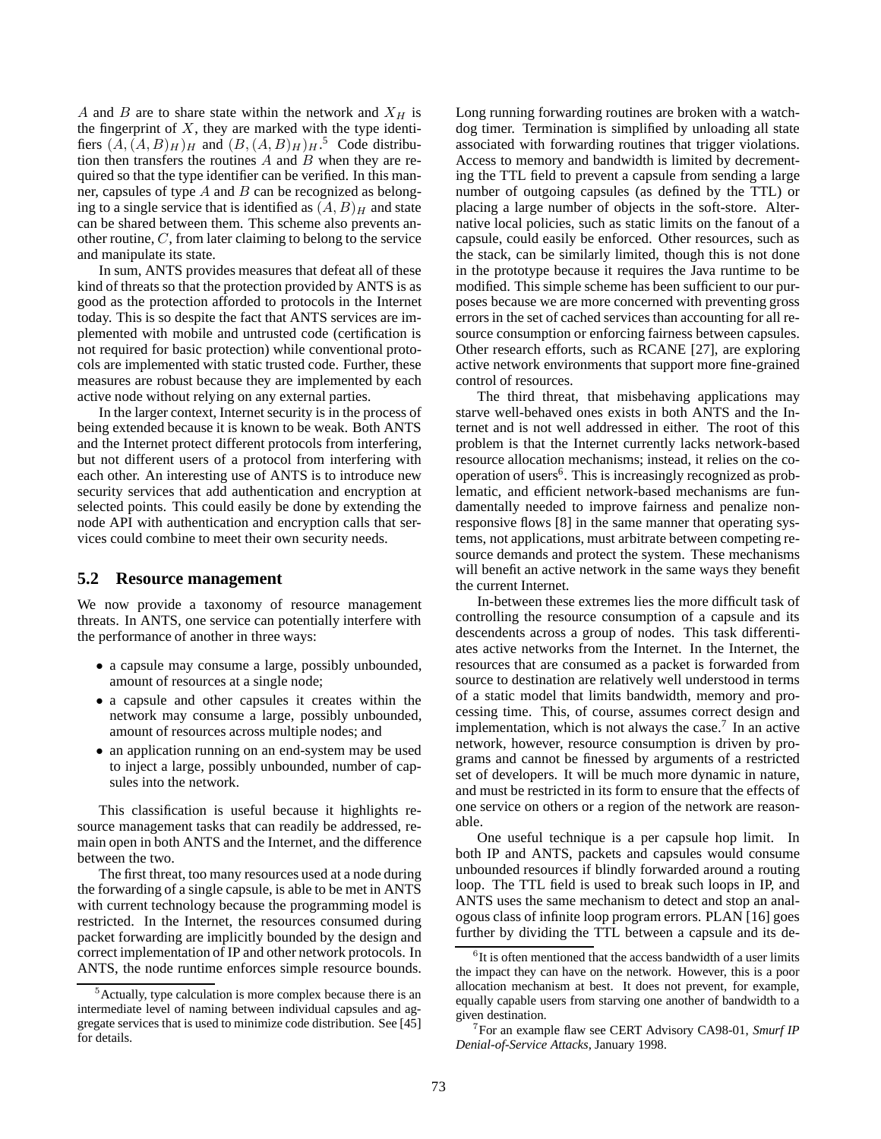A and B are to share state within the network and  $X_H$  is the fingerprint of  $X$ , they are marked with the type identifiers  $(A, (A, B)_H)_H$  and  $(B, (A, B)_H)_H$ .<sup>5</sup> Code distribution then transfers the routines  $A$  and  $B$  when they are required so that the type identifier can be verified. In this manner, capsules of type  $A$  and  $B$  can be recognized as belonging to a single service that is identified as  $(A, B)<sub>H</sub>$  and state can be shared between them. This scheme also prevents another routine, C, from later claiming to belong to the service and manipulate its state.

In sum, ANTS provides measures that defeat all of these kind of threats so that the protection provided by ANTS is as good as the protection afforded to protocols in the Internet today. This is so despite the fact that ANTS services are implemented with mobile and untrusted code (certification is not required for basic protection) while conventional protocols are implemented with static trusted code. Further, these measures are robust because they are implemented by each active node without relying on any external parties.

In the larger context, Internet security is in the process of being extended because it is known to be weak. Both ANTS and the Internet protect different protocols from interfering, but not different users of a protocol from interfering with each other. An interesting use of ANTS is to introduce new security services that add authentication and encryption at selected points. This could easily be done by extending the node API with authentication and encryption calls that services could combine to meet their own security needs.

#### **5.2 Resource management**

We now provide a taxonomy of resource management threats. In ANTS, one service can potentially interfere with the performance of another in three ways:

- a capsule may consume a large, possibly unbounded, amount of resources at a single node;
- a capsule and other capsules it creates within the network may consume a large, possibly unbounded, amount of resources across multiple nodes; and
- an application running on an end-system may be used to inject a large, possibly unbounded, number of capsules into the network.

This classification is useful because it highlights resource management tasks that can readily be addressed, remain open in both ANTS and the Internet, and the difference between the two.

The first threat, too many resources used at a node during the forwarding of a single capsule, is able to be met in ANTS with current technology because the programming model is restricted. In the Internet, the resources consumed during packet forwarding are implicitly bounded by the design and correct implementation of IP and other network protocols. In ANTS, the node runtime enforces simple resource bounds.

Long running forwarding routines are broken with a watchdog timer. Termination is simplified by unloading all state associated with forwarding routines that trigger violations. Access to memory and bandwidth is limited by decrementing the TTL field to prevent a capsule from sending a large number of outgoing capsules (as defined by the TTL) or placing a large number of objects in the soft-store. Alternative local policies, such as static limits on the fanout of a capsule, could easily be enforced. Other resources, such as the stack, can be similarly limited, though this is not done in the prototype because it requires the Java runtime to be modified. This simple scheme has been sufficient to our purposes because we are more concerned with preventing gross errors in the set of cached services than accounting for all resource consumption or enforcing fairness between capsules. Other research efforts, such as RCANE [27], are exploring active network environments that support more fine-grained control of resources.

The third threat, that misbehaving applications may starve well-behaved ones exists in both ANTS and the Internet and is not well addressed in either. The root of this problem is that the Internet currently lacks network-based resource allocation mechanisms; instead, it relies on the cooperation of users<sup>6</sup>. This is increasingly recognized as problematic, and efficient network-based mechanisms are fundamentally needed to improve fairness and penalize nonresponsive flows [8] in the same manner that operating systems, not applications, must arbitrate between competing resource demands and protect the system. These mechanisms will benefit an active network in the same ways they benefit the current Internet.

In-between these extremes lies the more difficult task of controlling the resource consumption of a capsule and its descendents across a group of nodes. This task differentiates active networks from the Internet. In the Internet, the resources that are consumed as a packet is forwarded from source to destination are relatively well understood in terms of a static model that limits bandwidth, memory and processing time. This, of course, assumes correct design and implementation, which is not always the case.7 In an active network, however, resource consumption is driven by programs and cannot be finessed by arguments of a restricted set of developers. It will be much more dynamic in nature, and must be restricted in its form to ensure that the effects of one service on others or a region of the network are reasonable.

One useful technique is a per capsule hop limit. In both IP and ANTS, packets and capsules would consume unbounded resources if blindly forwarded around a routing loop. The TTL field is used to break such loops in IP, and ANTS uses the same mechanism to detect and stop an analogous class of infinite loop program errors. PLAN [16] goes further by dividing the TTL between a capsule and its de-

 $5$ Actually, type calculation is more complex because there is an intermediate level of naming between individual capsules and aggregate services that is used to minimize code distribution. See [45] for details.

 ${}^{6}$ It is often mentioned that the access bandwidth of a user limits the impact they can have on the network. However, this is a poor allocation mechanism at best. It does not prevent, for example, equally capable users from starving one another of bandwidth to a given destination.

<sup>7</sup>For an example flaw see CERT Advisory CA98-01, *Smurf IP Denial-of-Service Attacks*, January 1998.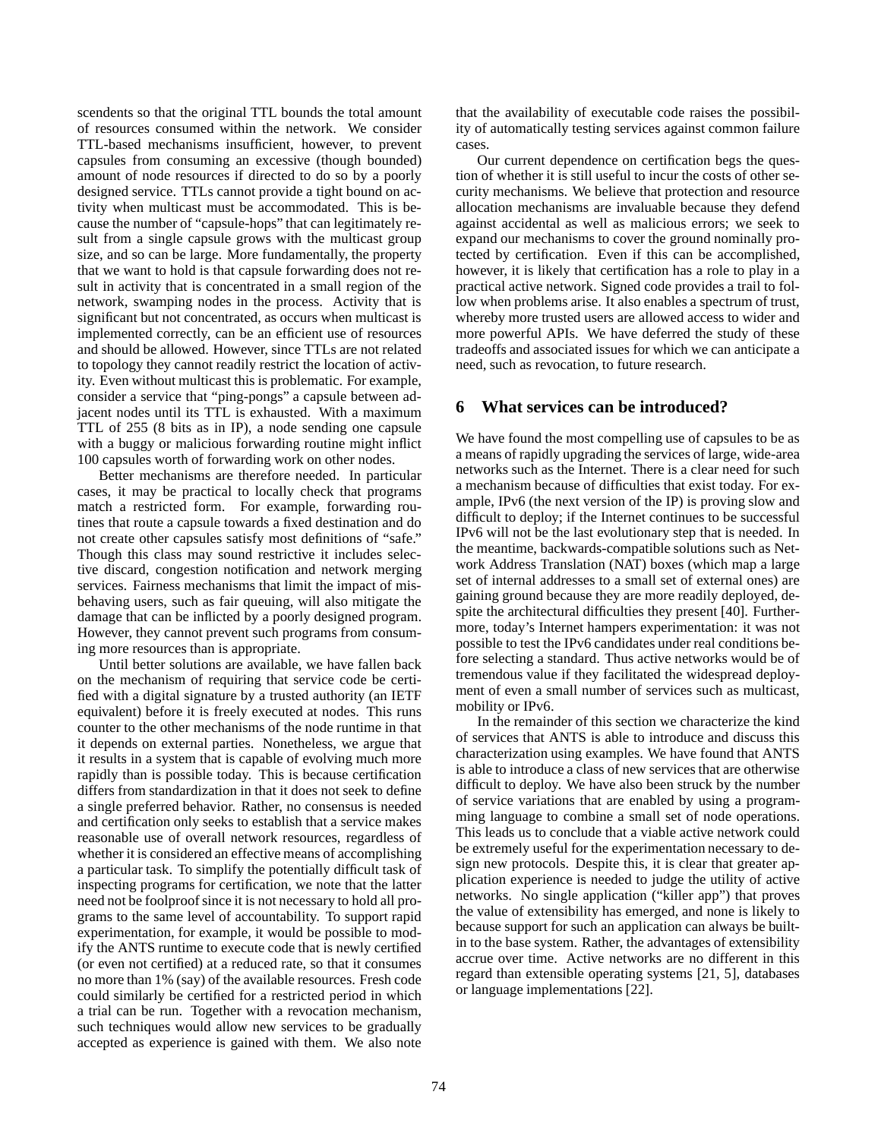scendents so that the original TTL bounds the total amount of resources consumed within the network. We consider TTL-based mechanisms insufficient, however, to prevent capsules from consuming an excessive (though bounded) amount of node resources if directed to do so by a poorly designed service. TTLs cannot provide a tight bound on activity when multicast must be accommodated. This is because the number of "capsule-hops" that can legitimately result from a single capsule grows with the multicast group size, and so can be large. More fundamentally, the property that we want to hold is that capsule forwarding does not result in activity that is concentrated in a small region of the network, swamping nodes in the process. Activity that is significant but not concentrated, as occurs when multicast is implemented correctly, can be an efficient use of resources and should be allowed. However, since TTLs are not related to topology they cannot readily restrict the location of activity. Even without multicast this is problematic. For example, consider a service that "ping-pongs" a capsule between adjacent nodes until its TTL is exhausted. With a maximum TTL of 255 (8 bits as in IP), a node sending one capsule with a buggy or malicious forwarding routine might inflict 100 capsules worth of forwarding work on other nodes.

Better mechanisms are therefore needed. In particular cases, it may be practical to locally check that programs match a restricted form. For example, forwarding routines that route a capsule towards a fixed destination and do not create other capsules satisfy most definitions of "safe." Though this class may sound restrictive it includes selective discard, congestion notification and network merging services. Fairness mechanisms that limit the impact of misbehaving users, such as fair queuing, will also mitigate the damage that can be inflicted by a poorly designed program. However, they cannot prevent such programs from consuming more resources than is appropriate.

Until better solutions are available, we have fallen back on the mechanism of requiring that service code be certified with a digital signature by a trusted authority (an IETF equivalent) before it is freely executed at nodes. This runs counter to the other mechanisms of the node runtime in that it depends on external parties. Nonetheless, we argue that it results in a system that is capable of evolving much more rapidly than is possible today. This is because certification differs from standardization in that it does not seek to define a single preferred behavior. Rather, no consensus is needed and certification only seeks to establish that a service makes reasonable use of overall network resources, regardless of whether it is considered an effective means of accomplishing a particular task. To simplify the potentially difficult task of inspecting programs for certification, we note that the latter need not be foolproof since it is not necessary to hold all programs to the same level of accountability. To support rapid experimentation, for example, it would be possible to modify the ANTS runtime to execute code that is newly certified (or even not certified) at a reduced rate, so that it consumes no more than 1% (say) of the available resources. Fresh code could similarly be certified for a restricted period in which a trial can be run. Together with a revocation mechanism, such techniques would allow new services to be gradually accepted as experience is gained with them. We also note

that the availability of executable code raises the possibility of automatically testing services against common failure cases.

Our current dependence on certification begs the question of whether it is still useful to incur the costs of other security mechanisms. We believe that protection and resource allocation mechanisms are invaluable because they defend against accidental as well as malicious errors; we seek to expand our mechanisms to cover the ground nominally protected by certification. Even if this can be accomplished, however, it is likely that certification has a role to play in a practical active network. Signed code provides a trail to follow when problems arise. It also enables a spectrum of trust, whereby more trusted users are allowed access to wider and more powerful APIs. We have deferred the study of these tradeoffs and associated issues for which we can anticipate a need, such as revocation, to future research.

# **6 What services can be introduced?**

We have found the most compelling use of capsules to be as a means of rapidly upgrading the services of large, wide-area networks such as the Internet. There is a clear need for such a mechanism because of difficulties that exist today. For example, IPv6 (the next version of the IP) is proving slow and difficult to deploy; if the Internet continues to be successful IPv6 will not be the last evolutionary step that is needed. In the meantime, backwards-compatible solutions such as Network Address Translation (NAT) boxes (which map a large set of internal addresses to a small set of external ones) are gaining ground because they are more readily deployed, despite the architectural difficulties they present [40]. Furthermore, today's Internet hampers experimentation: it was not possible to test the IPv6 candidates under real conditions before selecting a standard. Thus active networks would be of tremendous value if they facilitated the widespread deployment of even a small number of services such as multicast, mobility or IPv6.

In the remainder of this section we characterize the kind of services that ANTS is able to introduce and discuss this characterization using examples. We have found that ANTS is able to introduce a class of new services that are otherwise difficult to deploy. We have also been struck by the number of service variations that are enabled by using a programming language to combine a small set of node operations. This leads us to conclude that a viable active network could be extremely useful for the experimentation necessary to design new protocols. Despite this, it is clear that greater application experience is needed to judge the utility of active networks. No single application ("killer app") that proves the value of extensibility has emerged, and none is likely to because support for such an application can always be builtin to the base system. Rather, the advantages of extensibility accrue over time. Active networks are no different in this regard than extensible operating systems [21, 5], databases or language implementations [22].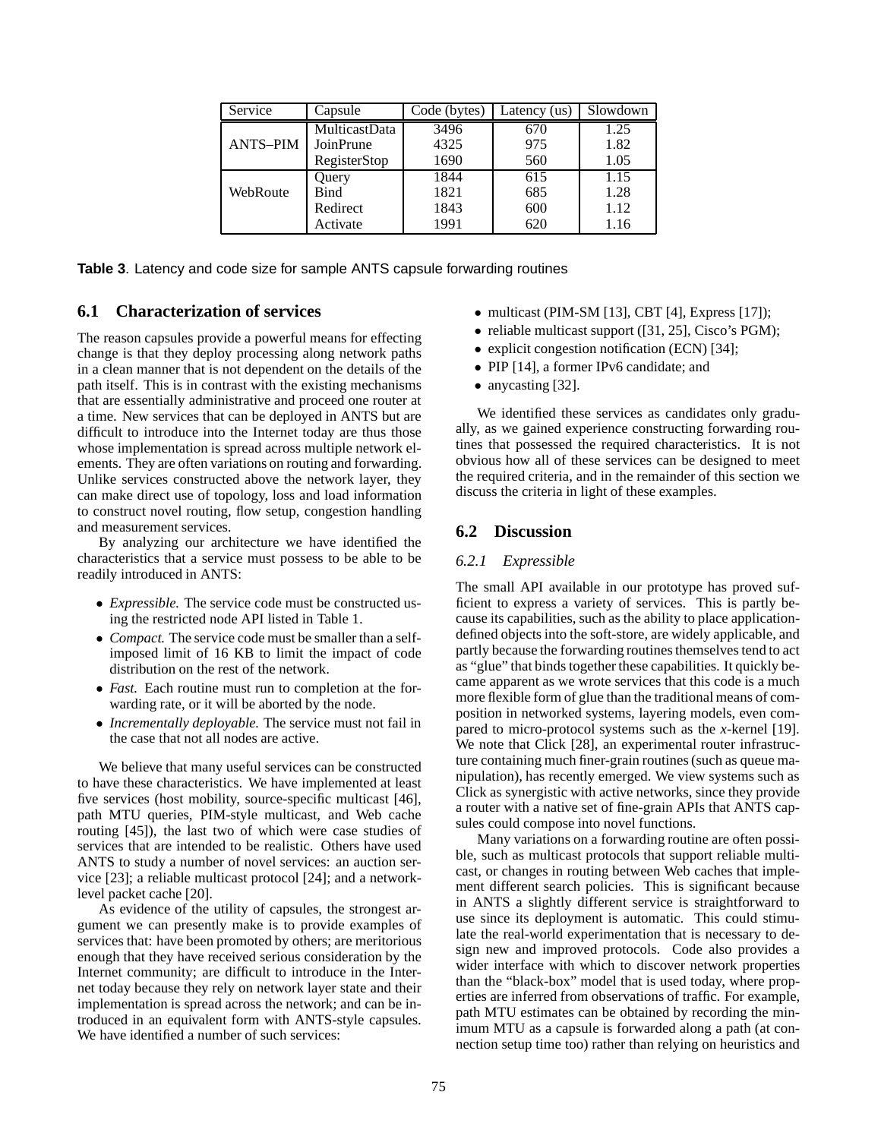| Service         | Capsule              | Code (bytes) | Latency (us) | Slowdown |
|-----------------|----------------------|--------------|--------------|----------|
|                 | <b>MulticastData</b> | 3496         | 670          | 1.25     |
| <b>ANTS-PIM</b> | JoinPrune            | 4325         | 975          | 1.82     |
|                 | RegisterStop         | 1690         | 560          | 1.05     |
|                 | Query                | 1844         | 615          | 1.15     |
| WebRoute        | <b>Bind</b>          | 1821         | 685          | 1.28     |
|                 | Redirect             | 1843         | 600          | 1.12     |
|                 | Activate             | 1991         | 620          | 1.16     |

**Table 3**. Latency and code size for sample ANTS capsule forwarding routines

## **6.1 Characterization of services**

The reason capsules provide a powerful means for effecting change is that they deploy processing along network paths in a clean manner that is not dependent on the details of the path itself. This is in contrast with the existing mechanisms that are essentially administrative and proceed one router at a time. New services that can be deployed in ANTS but are difficult to introduce into the Internet today are thus those whose implementation is spread across multiple network elements. They are often variations on routing and forwarding. Unlike services constructed above the network layer, they can make direct use of topology, loss and load information to construct novel routing, flow setup, congestion handling and measurement services.

By analyzing our architecture we have identified the characteristics that a service must possess to be able to be readily introduced in ANTS:

- *Expressible.* The service code must be constructed using the restricted node API listed in Table 1.
- *Compact.* The service code must be smaller than a selfimposed limit of 16 KB to limit the impact of code distribution on the rest of the network.
- *Fast.* Each routine must run to completion at the forwarding rate, or it will be aborted by the node.
- *Incrementally deployable.* The service must not fail in the case that not all nodes are active.

We believe that many useful services can be constructed to have these characteristics. We have implemented at least five services (host mobility, source-specific multicast [46], path MTU queries, PIM-style multicast, and Web cache routing [45]), the last two of which were case studies of services that are intended to be realistic. Others have used ANTS to study a number of novel services: an auction service [23]; a reliable multicast protocol [24]; and a networklevel packet cache [20].

As evidence of the utility of capsules, the strongest argument we can presently make is to provide examples of services that: have been promoted by others; are meritorious enough that they have received serious consideration by the Internet community; are difficult to introduce in the Internet today because they rely on network layer state and their implementation is spread across the network; and can be introduced in an equivalent form with ANTS-style capsules. We have identified a number of such services:

- multicast (PIM-SM [13], CBT [4], Express [17]);
- reliable multicast support ([31, 25], Cisco's PGM);
- explicit congestion notification (ECN) [34];
- PIP [14], a former IPv6 candidate; and
- any casting [32].

We identified these services as candidates only gradually, as we gained experience constructing forwarding routines that possessed the required characteristics. It is not obvious how all of these services can be designed to meet the required criteria, and in the remainder of this section we discuss the criteria in light of these examples.

# **6.2 Discussion**

#### *6.2.1 Expressible*

The small API available in our prototype has proved sufficient to express a variety of services. This is partly because its capabilities, such as the ability to place applicationdefined objects into the soft-store, are widely applicable, and partly because the forwarding routines themselves tend to act as "glue" that binds together these capabilities. It quickly became apparent as we wrote services that this code is a much more flexible form of glue than the traditional means of composition in networked systems, layering models, even compared to micro-protocol systems such as the *x*-kernel [19]. We note that Click [28], an experimental router infrastructure containing much finer-grain routines (such as queue manipulation), has recently emerged. We view systems such as Click as synergistic with active networks, since they provide a router with a native set of fine-grain APIs that ANTS capsules could compose into novel functions.

Many variations on a forwarding routine are often possible, such as multicast protocols that support reliable multicast, or changes in routing between Web caches that implement different search policies. This is significant because in ANTS a slightly different service is straightforward to use since its deployment is automatic. This could stimulate the real-world experimentation that is necessary to design new and improved protocols. Code also provides a wider interface with which to discover network properties than the "black-box" model that is used today, where properties are inferred from observations of traffic. For example, path MTU estimates can be obtained by recording the minimum MTU as a capsule is forwarded along a path (at connection setup time too) rather than relying on heuristics and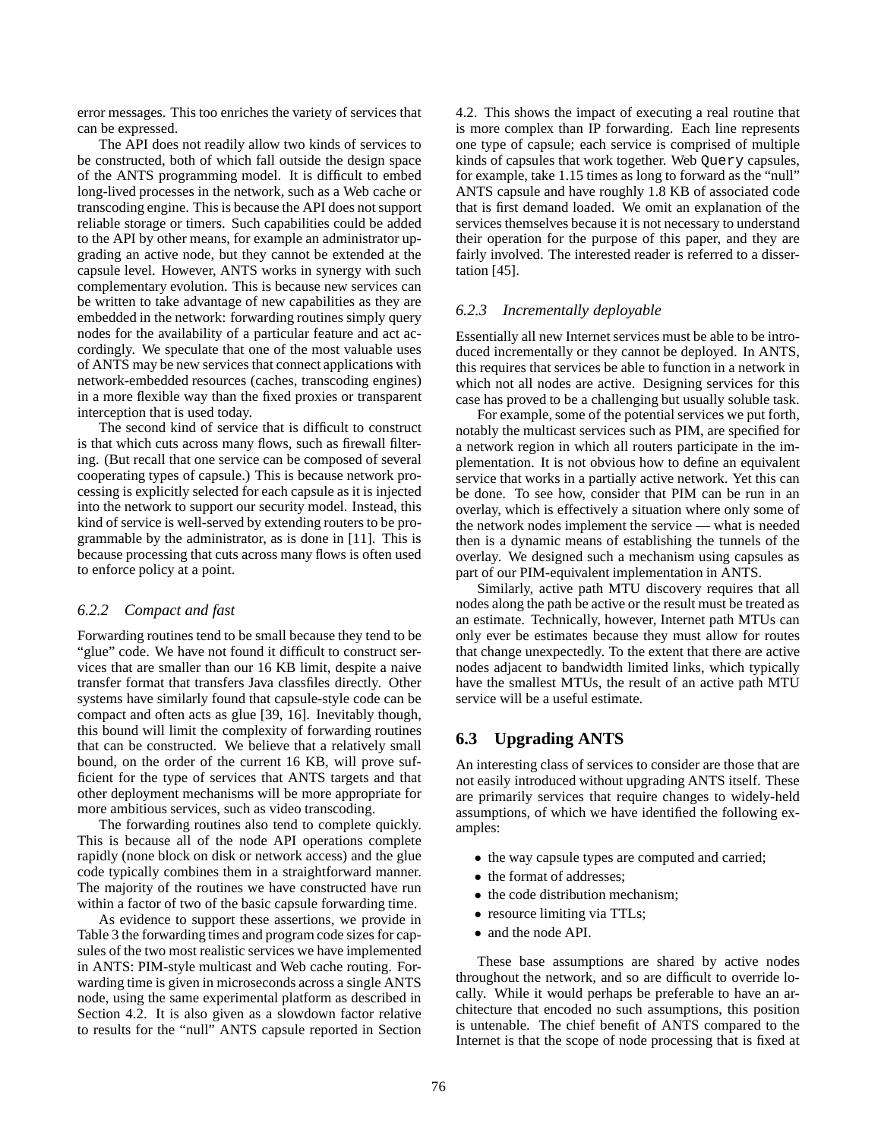error messages. This too enriches the variety of services that can be expressed.

The API does not readily allow two kinds of services to be constructed, both of which fall outside the design space of the ANTS programming model. It is difficult to embed long-lived processes in the network, such as a Web cache or transcoding engine. This is because the API does not support reliable storage or timers. Such capabilities could be added to the API by other means, for example an administrator upgrading an active node, but they cannot be extended at the capsule level. However, ANTS works in synergy with such complementary evolution. This is because new services can be written to take advantage of new capabilities as they are embedded in the network: forwarding routines simply query nodes for the availability of a particular feature and act accordingly. We speculate that one of the most valuable uses of ANTS may be new services that connect applications with network-embedded resources (caches, transcoding engines) in a more flexible way than the fixed proxies or transparent interception that is used today.

The second kind of service that is difficult to construct is that which cuts across many flows, such as firewall filtering. (But recall that one service can be composed of several cooperating types of capsule.) This is because network processing is explicitly selected for each capsule as it is injected into the network to support our security model. Instead, this kind of service is well-served by extending routers to be programmable by the administrator, as is done in [11]. This is because processing that cuts across many flows is often used to enforce policy at a point.

#### *6.2.2 Compact and fast*

Forwarding routines tend to be small because they tend to be "glue" code. We have not found it difficult to construct services that are smaller than our 16 KB limit, despite a naive transfer format that transfers Java classfiles directly. Other systems have similarly found that capsule-style code can be compact and often acts as glue [39, 16]. Inevitably though, this bound will limit the complexity of forwarding routines that can be constructed. We believe that a relatively small bound, on the order of the current 16 KB, will prove sufficient for the type of services that ANTS targets and that other deployment mechanisms will be more appropriate for more ambitious services, such as video transcoding.

The forwarding routines also tend to complete quickly. This is because all of the node API operations complete rapidly (none block on disk or network access) and the glue code typically combines them in a straightforward manner. The majority of the routines we have constructed have run within a factor of two of the basic capsule forwarding time.

As evidence to support these assertions, we provide in Table 3 the forwarding times and program code sizes for capsules of the two most realistic services we have implemented in ANTS: PIM-style multicast and Web cache routing. Forwarding time is given in microseconds across a single ANTS node, using the same experimental platform as described in Section 4.2. It is also given as a slowdown factor relative to results for the "null" ANTS capsule reported in Section 4.2. This shows the impact of executing a real routine that is more complex than IP forwarding. Each line represents one type of capsule; each service is comprised of multiple kinds of capsules that work together. Web Query capsules, for example, take 1.15 times as long to forward as the "null" ANTS capsule and have roughly 1.8 KB of associated code that is first demand loaded. We omit an explanation of the services themselves because it is not necessary to understand their operation for the purpose of this paper, and they are fairly involved. The interested reader is referred to a dissertation [45].

#### *6.2.3 Incrementally deployable*

Essentially all new Internet services must be able to be introduced incrementally or they cannot be deployed. In ANTS, this requires that services be able to function in a network in which not all nodes are active. Designing services for this case has proved to be a challenging but usually soluble task.

For example, some of the potential services we put forth, notably the multicast services such as PIM, are specified for a network region in which all routers participate in the implementation. It is not obvious how to define an equivalent service that works in a partially active network. Yet this can be done. To see how, consider that PIM can be run in an overlay, which is effectively a situation where only some of the network nodes implement the service — what is needed then is a dynamic means of establishing the tunnels of the overlay. We designed such a mechanism using capsules as part of our PIM-equivalent implementation in ANTS.

Similarly, active path MTU discovery requires that all nodes along the path be active or the result must be treated as an estimate. Technically, however, Internet path MTUs can only ever be estimates because they must allow for routes that change unexpectedly. To the extent that there are active nodes adjacent to bandwidth limited links, which typically have the smallest MTUs, the result of an active path MTU service will be a useful estimate.

## **6.3 Upgrading ANTS**

An interesting class of services to consider are those that are not easily introduced without upgrading ANTS itself. These are primarily services that require changes to widely-held assumptions, of which we have identified the following examples:

- the way capsule types are computed and carried;
- the format of addresses;
- the code distribution mechanism;
- resource limiting via TTLs;
- and the node API.

These base assumptions are shared by active nodes throughout the network, and so are difficult to override locally. While it would perhaps be preferable to have an architecture that encoded no such assumptions, this position is untenable. The chief benefit of ANTS compared to the Internet is that the scope of node processing that is fixed at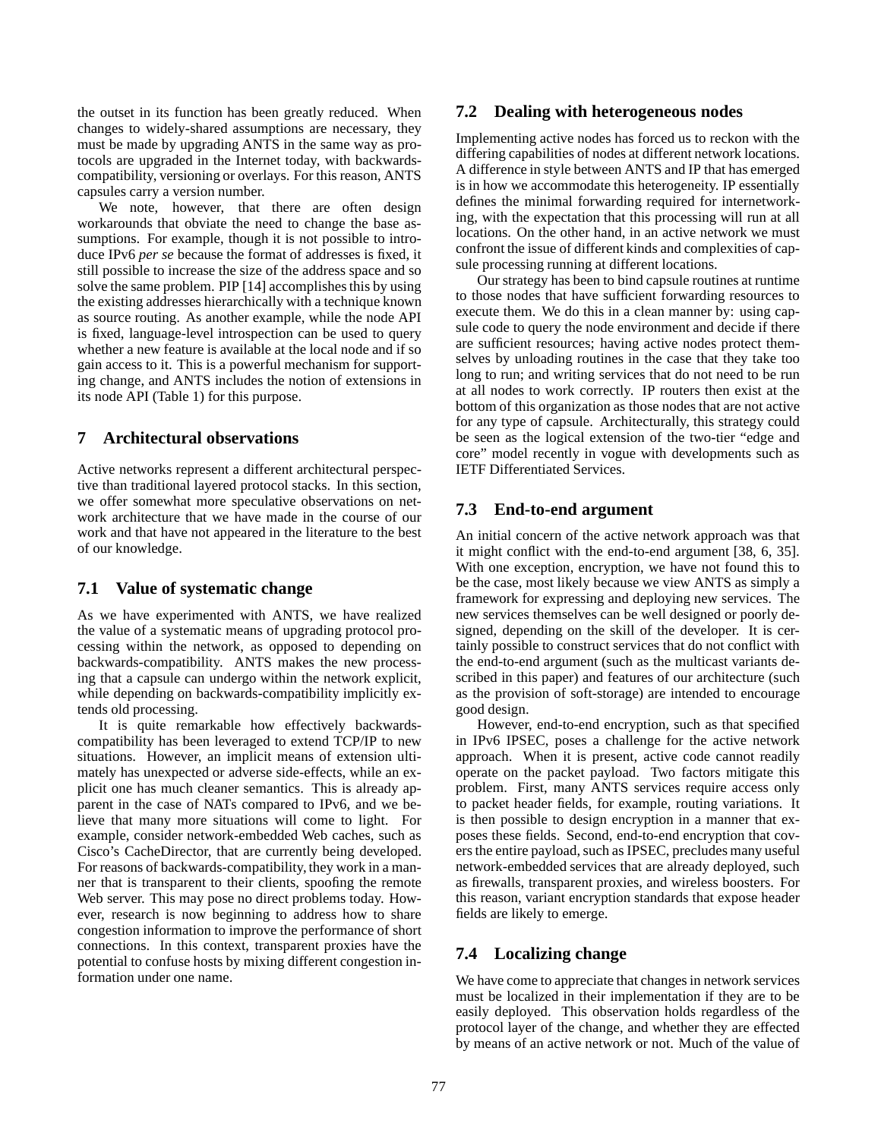the outset in its function has been greatly reduced. When changes to widely-shared assumptions are necessary, they must be made by upgrading ANTS in the same way as protocols are upgraded in the Internet today, with backwardscompatibility, versioning or overlays. For this reason, ANTS capsules carry a version number.

We note, however, that there are often design workarounds that obviate the need to change the base assumptions. For example, though it is not possible to introduce IPv6 *per se* because the format of addresses is fixed, it still possible to increase the size of the address space and so solve the same problem. PIP [14] accomplishes this by using the existing addresses hierarchically with a technique known as source routing. As another example, while the node API is fixed, language-level introspection can be used to query whether a new feature is available at the local node and if so gain access to it. This is a powerful mechanism for supporting change, and ANTS includes the notion of extensions in its node API (Table 1) for this purpose.

# **7 Architectural observations**

Active networks represent a different architectural perspective than traditional layered protocol stacks. In this section, we offer somewhat more speculative observations on network architecture that we have made in the course of our work and that have not appeared in the literature to the best of our knowledge.

### **7.1 Value of systematic change**

As we have experimented with ANTS, we have realized the value of a systematic means of upgrading protocol processing within the network, as opposed to depending on backwards-compatibility. ANTS makes the new processing that a capsule can undergo within the network explicit, while depending on backwards-compatibility implicitly extends old processing.

It is quite remarkable how effectively backwardscompatibility has been leveraged to extend TCP/IP to new situations. However, an implicit means of extension ultimately has unexpected or adverse side-effects, while an explicit one has much cleaner semantics. This is already apparent in the case of NATs compared to IPv6, and we believe that many more situations will come to light. For example, consider network-embedded Web caches, such as Cisco's CacheDirector, that are currently being developed. For reasons of backwards-compatibility, they work in a manner that is transparent to their clients, spoofing the remote Web server. This may pose no direct problems today. However, research is now beginning to address how to share congestion information to improve the performance of short connections. In this context, transparent proxies have the potential to confuse hosts by mixing different congestion information under one name.

## **7.2 Dealing with heterogeneous nodes**

Implementing active nodes has forced us to reckon with the differing capabilities of nodes at different network locations. A difference in style between ANTS and IP that has emerged is in how we accommodate this heterogeneity. IP essentially defines the minimal forwarding required for internetworking, with the expectation that this processing will run at all locations. On the other hand, in an active network we must confront the issue of different kinds and complexities of capsule processing running at different locations.

Our strategy has been to bind capsule routines at runtime to those nodes that have sufficient forwarding resources to execute them. We do this in a clean manner by: using capsule code to query the node environment and decide if there are sufficient resources; having active nodes protect themselves by unloading routines in the case that they take too long to run; and writing services that do not need to be run at all nodes to work correctly. IP routers then exist at the bottom of this organization as those nodes that are not active for any type of capsule. Architecturally, this strategy could be seen as the logical extension of the two-tier "edge and core" model recently in vogue with developments such as IETF Differentiated Services.

# **7.3 End-to-end argument**

An initial concern of the active network approach was that it might conflict with the end-to-end argument [38, 6, 35]. With one exception, encryption, we have not found this to be the case, most likely because we view ANTS as simply a framework for expressing and deploying new services. The new services themselves can be well designed or poorly designed, depending on the skill of the developer. It is certainly possible to construct services that do not conflict with the end-to-end argument (such as the multicast variants described in this paper) and features of our architecture (such as the provision of soft-storage) are intended to encourage good design.

However, end-to-end encryption, such as that specified in IPv6 IPSEC, poses a challenge for the active network approach. When it is present, active code cannot readily operate on the packet payload. Two factors mitigate this problem. First, many ANTS services require access only to packet header fields, for example, routing variations. It is then possible to design encryption in a manner that exposes these fields. Second, end-to-end encryption that covers the entire payload, such as IPSEC, precludes many useful network-embedded services that are already deployed, such as firewalls, transparent proxies, and wireless boosters. For this reason, variant encryption standards that expose header fields are likely to emerge.

# **7.4 Localizing change**

We have come to appreciate that changes in network services must be localized in their implementation if they are to be easily deployed. This observation holds regardless of the protocol layer of the change, and whether they are effected by means of an active network or not. Much of the value of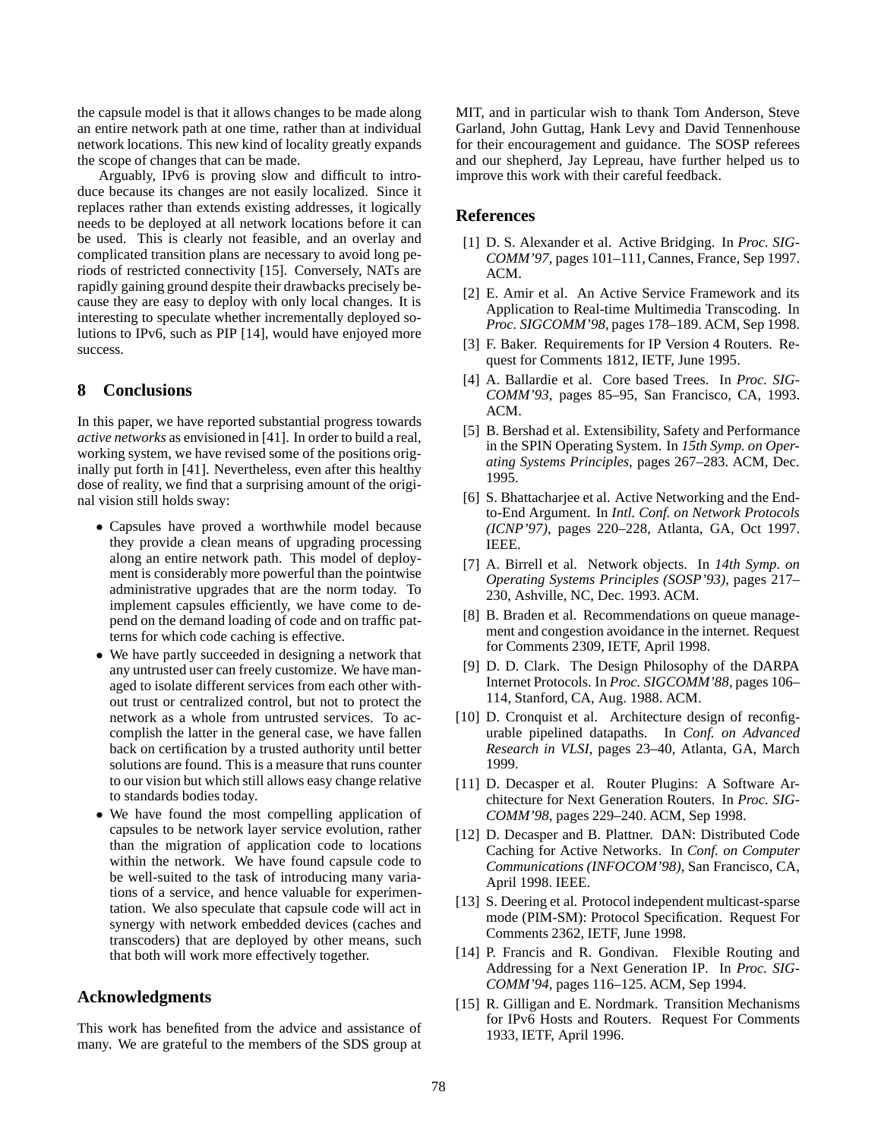the capsule model is that it allows changes to be made along an entire network path at one time, rather than at individual network locations. This new kind of locality greatly expands the scope of changes that can be made.

Arguably, IPv6 is proving slow and difficult to introduce because its changes are not easily localized. Since it replaces rather than extends existing addresses, it logically needs to be deployed at all network locations before it can be used. This is clearly not feasible, and an overlay and complicated transition plans are necessary to avoid long periods of restricted connectivity [15]. Conversely, NATs are rapidly gaining ground despite their drawbacks precisely because they are easy to deploy with only local changes. It is interesting to speculate whether incrementally deployed solutions to IPv6, such as PIP [14], would have enjoyed more success.

## **8 Conclusions**

In this paper, we have reported substantial progress towards *active networks* as envisioned in [41]. In order to build a real, working system, we have revised some of the positions originally put forth in [41]. Nevertheless, even after this healthy dose of reality, we find that a surprising amount of the original vision still holds sway:

- Capsules have proved a worthwhile model because they provide a clean means of upgrading processing along an entire network path. This model of deployment is considerably more powerful than the pointwise administrative upgrades that are the norm today. To implement capsules efficiently, we have come to depend on the demand loading of code and on traffic patterns for which code caching is effective.
- We have partly succeeded in designing a network that any untrusted user can freely customize. We have managed to isolate different services from each other without trust or centralized control, but not to protect the network as a whole from untrusted services. To accomplish the latter in the general case, we have fallen back on certification by a trusted authority until better solutions are found. This is a measure that runs counter to our vision but which still allows easy change relative to standards bodies today.
- We have found the most compelling application of capsules to be network layer service evolution, rather than the migration of application code to locations within the network. We have found capsule code to be well-suited to the task of introducing many variations of a service, and hence valuable for experimentation. We also speculate that capsule code will act in synergy with network embedded devices (caches and transcoders) that are deployed by other means, such that both will work more effectively together.

## **Acknowledgments**

This work has benefited from the advice and assistance of many. We are grateful to the members of the SDS group at MIT, and in particular wish to thank Tom Anderson, Steve Garland, John Guttag, Hank Levy and David Tennenhouse for their encouragement and guidance. The SOSP referees and our shepherd, Jay Lepreau, have further helped us to improve this work with their careful feedback.

#### **References**

- [1] D. S. Alexander et al. Active Bridging. In *Proc. SIG-COMM'97*, pages 101–111, Cannes, France, Sep 1997. ACM.
- [2] E. Amir et al. An Active Service Framework and its Application to Real-time Multimedia Transcoding. In *Proc. SIGCOMM'98*, pages 178–189. ACM, Sep 1998.
- [3] F. Baker. Requirements for IP Version 4 Routers. Request for Comments 1812, IETF, June 1995.
- [4] A. Ballardie et al. Core based Trees. In *Proc. SIG-COMM'93*, pages 85–95, San Francisco, CA, 1993. ACM.
- [5] B. Bershad et al. Extensibility, Safety and Performance in the SPIN Operating System. In *15th Symp. on Operating Systems Principles*, pages 267–283. ACM, Dec. 1995.
- [6] S. Bhattacharjee et al. Active Networking and the Endto-End Argument. In *Intl. Conf. on Network Protocols (ICNP'97)*, pages 220–228, Atlanta, GA, Oct 1997. IEEE.
- [7] A. Birrell et al. Network objects. In *14th Symp. on Operating Systems Principles (SOSP'93)*, pages 217– 230, Ashville, NC, Dec. 1993. ACM.
- [8] B. Braden et al. Recommendations on queue management and congestion avoidance in the internet. Request for Comments 2309, IETF, April 1998.
- [9] D. D. Clark. The Design Philosophy of the DARPA Internet Protocols. In *Proc. SIGCOMM'88*, pages 106– 114, Stanford, CA, Aug. 1988. ACM.
- [10] D. Cronquist et al. Architecture design of reconfigurable pipelined datapaths. In *Conf. on Advanced Research in VLSI*, pages 23–40, Atlanta, GA, March 1999.
- [11] D. Decasper et al. Router Plugins: A Software Architecture for Next Generation Routers. In *Proc. SIG-COMM'98*, pages 229–240. ACM, Sep 1998.
- [12] D. Decasper and B. Plattner. DAN: Distributed Code Caching for Active Networks. In *Conf. on Computer Communications (INFOCOM'98)*, San Francisco, CA, April 1998. IEEE.
- [13] S. Deering et al. Protocol independent multicast-sparse mode (PIM-SM): Protocol Specification. Request For Comments 2362, IETF, June 1998.
- [14] P. Francis and R. Gondivan. Flexible Routing and Addressing for a Next Generation IP. In *Proc. SIG-COMM'94*, pages 116–125. ACM, Sep 1994.
- [15] R. Gilligan and E. Nordmark. Transition Mechanisms for IPv6 Hosts and Routers. Request For Comments 1933, IETF, April 1996.